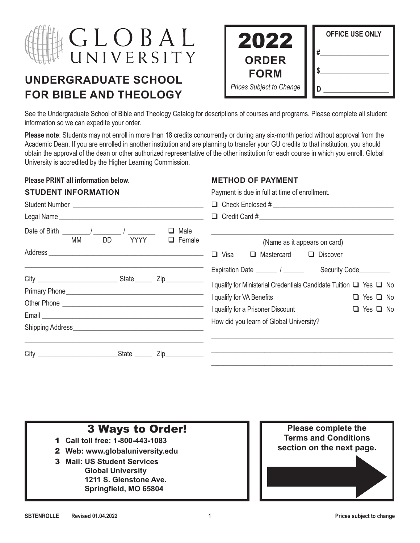

# **UNDERGRADUATE SCHOOL FOR BIBLE AND THEOLOGY**

| 2022                            | <b>OFFICE USE ONLY</b> |
|---------------------------------|------------------------|
| <b>ORDER</b><br><b>FORM</b>     | #                      |
| <b>Prices Subject to Change</b> |                        |

See the Undergraduate School of Bible and Theology Catalog for descriptions of courses and programs. Please complete all student information so we can expedite your order.

**Please note**: Students may not enroll in more than 18 credits concurrently or during any six-month period without approval from the Academic Dean. If you are enrolled in another institution and are planning to transfer your GU credits to that institution, you should obtain the approval of the dean or other authorized representative of the other institution for each course in which you enroll. Global University is accredited by the Higher Learning Commission.

#### **Please PRINT all information below.**

**STUDENT INFORMATION**

#### **METHOD OF PAYMENT**

Payment is due in full at time of enrollment.

|                                                                                                             | $\Box$ Check Enclosed #                                                                                                                                                                                                                                             |  |  |  |  |  |
|-------------------------------------------------------------------------------------------------------------|---------------------------------------------------------------------------------------------------------------------------------------------------------------------------------------------------------------------------------------------------------------------|--|--|--|--|--|
|                                                                                                             |                                                                                                                                                                                                                                                                     |  |  |  |  |  |
| Date of Birth $\frac{1}{\sqrt{1-\frac{1}{2}}}\int$<br>Male<br>□<br><b>YYYY</b><br>МM<br>DD<br>$\Box$ Female | (Name as it appears on card)<br>$\Box$ Visa<br>$\Box$ Discover<br>Mastercard<br>u                                                                                                                                                                                   |  |  |  |  |  |
| Zip___________                                                                                              | Security Code_________<br>I qualify for Ministerial Credentials Candidate Tuition $\Box$ Yes $\Box$ No<br>I qualify for VA Benefits<br>$\Box$ Yes $\Box$ No<br>I qualify for a Prisoner Discount<br>$\Box$ Yes $\Box$ No<br>How did you learn of Global University? |  |  |  |  |  |
|                                                                                                             |                                                                                                                                                                                                                                                                     |  |  |  |  |  |

#### **3 Ways to Order! Please complete the Terms and Conditions section on the next page.** 1 **Call toll free: 1-800-443-1083** 2 **Web: www.globaluniversity.edu** 3 **Mail: US Student Services Global University 1211 S. Glenstone Ave. Springfield, MO 65804**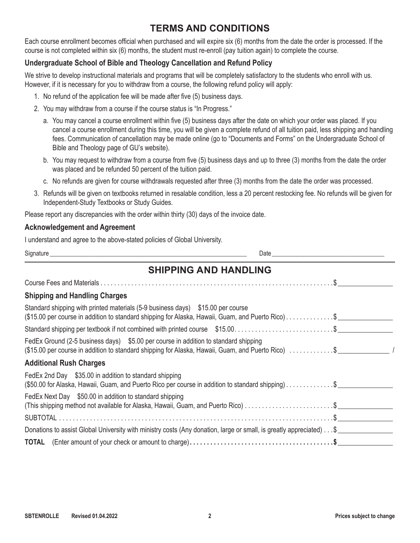### **TERMS AND CONDITIONS**

Each course enrollment becomes official when purchased and will expire six (6) months from the date the order is processed. If the course is not completed within six (6) months, the student must re-enroll (pay tuition again) to complete the course.

#### **Undergraduate School of Bible and Theology Cancellation and Refund Policy**

We strive to develop instructional materials and programs that will be completely satisfactory to the students who enroll with us. However, if it is necessary for you to withdraw from a course, the following refund policy will apply:

- 1. No refund of the application fee will be made after five (5) business days.
- 2. You may withdraw from a course if the course status is "In Progress."
	- a. You may cancel a course enrollment within five (5) business days after the date on which your order was placed. If you cancel a course enrollment during this time, you will be given a complete refund of all tuition paid, less shipping and handling fees. Communication of cancellation may be made online (go to "Documents and Forms" on the Undergraduate School of Bible and Theology page of GU's website).
	- b. You may request to withdraw from a course from five (5) business days and up to three (3) months from the date the order was placed and be refunded 50 percent of the tuition paid.
	- c. No refunds are given for course withdrawals requested after three (3) months from the date the order was processed.
- 3. Refunds will be given on textbooks returned in resalable condition, less a 20 percent restocking fee. No refunds will be given for Independent-Study Textbooks or Study Guides.

Please report any discrepancies with the order within thirty (30) days of the invoice date.

#### **Acknowledgement and Agreement**

I understand and agree to the above-stated policies of Global University.

Signature \_\_\_\_\_\_\_\_\_\_\_\_\_\_\_\_\_\_\_\_\_\_\_\_\_\_\_\_\_\_\_\_\_\_\_\_\_\_\_\_\_\_\_\_\_\_\_\_\_\_\_\_\_\_\_\_\_\_\_\_\_\_\_ Date\_\_\_\_\_\_\_\_\_\_\_\_\_\_\_\_\_\_\_\_\_\_\_\_\_\_\_\_\_\_\_\_\_\_\_\_

### **SHIPPING AND HANDLING**

| <b>Shipping and Handling Charges</b>                                                                                                                                                      |  |  |  |  |  |  |
|-------------------------------------------------------------------------------------------------------------------------------------------------------------------------------------------|--|--|--|--|--|--|
| Standard shipping with printed materials (5-9 business days) \$15.00 per course<br>(\$15.00 per course in addition to standard shipping for Alaska, Hawaii, Guam, and Puerto Rico)\$      |  |  |  |  |  |  |
| Standard shipping per textbook if not combined with printed course \$15.00\$                                                                                                              |  |  |  |  |  |  |
| FedEx Ground (2-5 business days) \$5.00 per course in addition to standard shipping<br>(\$15.00 per course in addition to standard shipping for Alaska, Hawaii, Guam, and Puerto Rico) \$ |  |  |  |  |  |  |
| <b>Additional Rush Charges</b>                                                                                                                                                            |  |  |  |  |  |  |
| FedEx 2nd Day \$35.00 in addition to standard shipping<br>(\$50.00 for Alaska, Hawaii, Guam, and Puerto Rico per course in addition to standard shipping)\$                               |  |  |  |  |  |  |
| FedEx Next Day \$50.00 in addition to standard shipping                                                                                                                                   |  |  |  |  |  |  |
|                                                                                                                                                                                           |  |  |  |  |  |  |
| Donations to assist Global University with ministry costs (Any donation, large or small, is greatly appreciated) \$                                                                       |  |  |  |  |  |  |
|                                                                                                                                                                                           |  |  |  |  |  |  |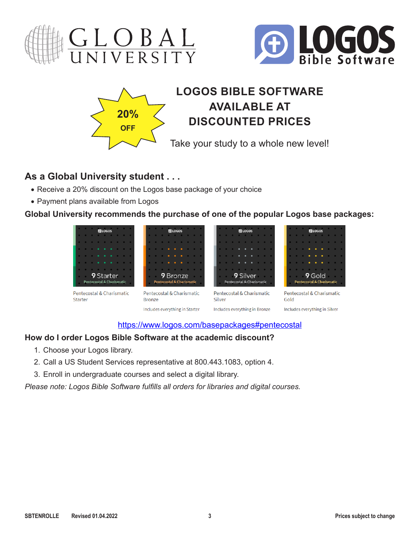





# **LOGOS BIBLE SOFTWARE AVAILABLE AT DISCOUNTED PRICES**

Take your study to a whole new level!

# **As a Global University student . . .**

- Receive a 20% discount on the Logos base package of your choice
- Payment plans available from Logos

**Global University recommends the purchase of one of the popular Logos base packages:**



### [https://www.logos.com/basepackages#pentecostal](https://www.logos.com/basepackages#pentecostal )

### **How do I order Logos Bible Software at the academic discount?**

- 1. Choose your Logos library.
- 2. Call a US Student Services representative at 800.443.1083, option 4.
- 3. Enroll in undergraduate courses and select a digital library.

*Please note: Logos Bible Software fulfills all orders for libraries and digital courses.*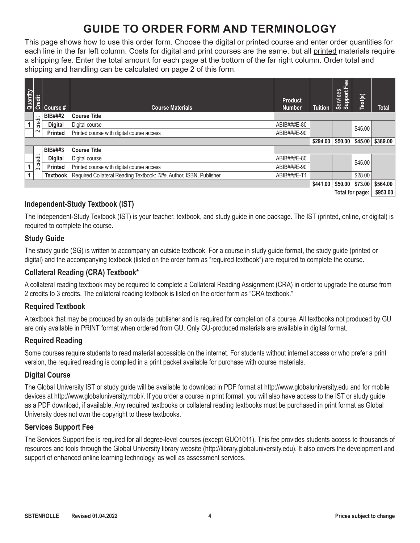# **GUIDE TO ORDER FORM AND TERMINOLOGY**

This page shows how to use this order form. Choose the digital or printed course and enter order quantities for each line in the far left column. Costs for digital and print courses are the same, but all printed materials require a shipping fee. Enter the total amount for each page at the bottom of the far right column. Order total and shipping and handling can be calculated on page 2 of this form.

| Quantity | Credit   | Course #        | <b>Course Materials</b>                                              | <b>Product</b><br><b>Number</b> | <b>Tuition</b> | Fee<br><b>Services</b><br>Support | Text(s) | <b>Total</b>                                               |
|----------|----------|-----------------|----------------------------------------------------------------------|---------------------------------|----------------|-----------------------------------|---------|------------------------------------------------------------|
|          |          | <b>BIB###2</b>  | <b>Course Title</b>                                                  |                                 |                |                                   |         |                                                            |
|          | credit   | <b>Digital</b>  | Digital course                                                       | ABIB###E-80                     |                |                                   | \$45.00 |                                                            |
|          | $\sim$   | <b>Printed</b>  | Printed course with digital course access                            | ABIB###E-90                     |                |                                   |         |                                                            |
|          |          |                 |                                                                      |                                 | \$294.00       | \$50.00                           | \$45.00 | \$389.00                                                   |
|          |          | <b>BIB###3</b>  | <b>Course Title</b>                                                  |                                 |                |                                   |         |                                                            |
|          | credit   | <b>Digital</b>  | Digital course                                                       | ABIB###E-80                     |                |                                   | \$45.00 |                                                            |
|          | $\infty$ | <b>Printed</b>  | Printed course with digital course access                            | ABIB###E-90                     |                |                                   |         |                                                            |
|          |          | <b>Textbook</b> | Required Collateral Reading Textbook: Title, Author, ISBN, Publisher | ABIB###E-T1                     |                |                                   | \$28.00 |                                                            |
|          |          |                 |                                                                      |                                 | \$441.00       | \$50.00                           | \$73.00 | \$564.00                                                   |
|          |          |                 |                                                                      |                                 |                | -                                 |         | $\mathbf{A} \mathbf{A} = \mathbf{A} \mathbf{A} \mathbf{A}$ |

**Total for page: \$953.00**

### **Independent-Study Textbook (IST)**

The Independent-Study Textbook (IST) is your teacher, textbook, and study guide in one package. The IST (printed, online, or digital) is required to complete the course.

#### **Study Guide**

The study guide (SG) is written to accompany an outside textbook. For a course in study guide format, the study guide (printed or digital) and the accompanying textbook (listed on the order form as "required textbook") are required to complete the course.

#### **Collateral Reading (CRA) Textbook\***

A collateral reading textbook may be required to complete a Collateral Reading Assignment (CRA) in order to upgrade the course from 2 credits to 3 credits. The collateral reading textbook is listed on the order form as "CRA textbook."

#### **Required Textbook**

A textbook that may be produced by an outside publisher and is required for completion of a course. All textbooks not produced by GU are only available in PRINT format when ordered from GU. Only GU-produced materials are available in digital format.

#### **Required Reading**

Some courses require students to read material accessible on the internet. For students without internet access or who prefer a print version, the required reading is compiled in a print packet available for purchase with course materials.

#### **Digital Course**

The Global University IST or study guide will be available to download in PDF format at<http://www.globaluniversity.edu>and for mobile devices at<http://www.globaluniversity.mobi/>. If you order a course in print format, you will also have access to the IST or study guide as a PDF download, if available. Any required textbooks or collateral reading textbooks must be purchased in print format as Global University does not own the copyright to these textbooks.

#### **Services Support Fee**

The Services Support fee is required for all degree-level courses (except GUO1011). This fee provides students access to thousands of resources and tools through the Global University library website [\(http://library.globaluniversity.edu](http://library.globaluniversity.edu)). It also covers the development and support of enhanced online learning technology, as well as assessment services.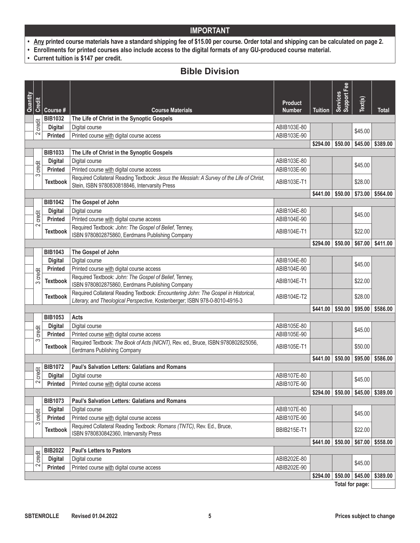- **• Any printed course materials have a standard shipping fee of \$15.00 per course. Order total and shipping can be calculated on page 2.**
- **• Enrollments for printed courses also include access to the digital formats of any GU-produced course material.**
- **• Current tuition is \$147 per credit.**

### **Bible Division**

|          |             |                 |                                                                                                                                                                   |                                 |                    | Fee                   |         |              |
|----------|-------------|-----------------|-------------------------------------------------------------------------------------------------------------------------------------------------------------------|---------------------------------|--------------------|-----------------------|---------|--------------|
| Quantity | Credit      | Course#         | <b>Course Materials</b>                                                                                                                                           | <b>Product</b><br><b>Number</b> | <b>Tuition</b>     | Services<br>Support F | Text(s) | <b>Total</b> |
|          |             | <b>BIB1032</b>  | The Life of Christ in the Synoptic Gospels                                                                                                                        |                                 |                    |                       |         |              |
|          | credit      | <b>Digital</b>  | Digital course                                                                                                                                                    | ABIB103E-80                     |                    |                       |         |              |
|          | 2           | <b>Printed</b>  | Printed course with digital course access                                                                                                                         | ABIB103E-90                     |                    |                       | \$45.00 |              |
|          |             |                 |                                                                                                                                                                   |                                 | \$294.00           | \$50.00               | \$45.00 | \$389.00     |
|          |             | <b>BIB1033</b>  | The Life of Christ in the Synoptic Gospels                                                                                                                        |                                 |                    |                       |         |              |
|          |             | <b>Digital</b>  | Digital course                                                                                                                                                    | ABIB103E-80                     |                    |                       | \$45.00 |              |
|          | credit      | <b>Printed</b>  | Printed course with digital course access                                                                                                                         | ABIB103E-90                     |                    |                       |         |              |
|          | က           | <b>Textbook</b> | Required Collateral Reading Textbook: Jesus the Messiah: A Survey of the Life of Christ,<br>Stein, ISBN 9780830818846, Intervarsity Press                         | ABIB103E-T1                     |                    |                       | \$28.00 |              |
|          |             |                 |                                                                                                                                                                   |                                 | \$441.00           | \$50.00               | \$73.00 | \$564.00     |
|          |             | <b>BIB1042</b>  | The Gospel of John                                                                                                                                                |                                 |                    |                       |         |              |
|          |             | <b>Digital</b>  | Digital course                                                                                                                                                    | ABIB104E-80                     |                    |                       | \$45.00 |              |
|          | credit      | <b>Printed</b>  | Printed course with digital course access                                                                                                                         | ABIB104E-90                     |                    |                       |         |              |
|          | $\sim$      | <b>Textbook</b> | Required Textbook: John: The Gospel of Belief, Tenney,<br>ISBN 9780802875860, Eerdmans Publishing Company                                                         | ABIB104E-T1                     |                    |                       | \$22.00 |              |
|          |             |                 |                                                                                                                                                                   |                                 | \$294.00           | \$50.00               | \$67.00 | \$411.00     |
|          |             | <b>BIB1043</b>  | The Gospel of John                                                                                                                                                |                                 |                    |                       |         |              |
|          |             | <b>Digital</b>  | Digital course                                                                                                                                                    | ABIB104E-80                     |                    |                       | \$45.00 |              |
|          |             | <b>Printed</b>  | Printed course with digital course access                                                                                                                         | ABIB104E-90                     |                    |                       |         |              |
|          | credit<br>က | <b>Textbook</b> | Required Textbook: John: The Gospel of Belief, Tenney,<br>ISBN 9780802875860, Eerdmans Publishing Company                                                         | ABIB104E-T1                     |                    |                       | \$22.00 |              |
|          |             | <b>Textbook</b> | Required Collateral Reading Textbook: Encountering John: The Gospel in Historical,<br>Literary, and Theological Perspective, Kostenberger; ISBN 978-0-8010-4916-3 | ABIB104E-T2                     |                    |                       | \$28.00 |              |
|          |             |                 |                                                                                                                                                                   |                                 | \$441.00           | \$50.00               | \$95.00 | \$586.00     |
|          |             | <b>BIB1053</b>  | Acts                                                                                                                                                              |                                 |                    |                       |         |              |
|          |             | <b>Digital</b>  | Digital course                                                                                                                                                    | ABIB105E-80                     |                    |                       | \$45.00 |              |
|          | credit      | <b>Printed</b>  | Printed course with digital course access                                                                                                                         | ABIB105E-90                     |                    |                       |         |              |
|          | S           | <b>Textbook</b> | Required Textbook: The Book of Acts (NICNT), Rev. ed., Bruce, ISBN:9780802825056,<br><b>Eerdmans Publishing Company</b>                                           | ABIB105E-T1                     |                    |                       | \$50.00 |              |
|          |             |                 |                                                                                                                                                                   |                                 | \$441.00           | \$50.00               | \$95.00 | \$586.00     |
|          |             | <b>BIB1072</b>  | <b>Paul's Salvation Letters: Galatians and Romans</b>                                                                                                             |                                 |                    |                       |         |              |
|          | credit      | <b>Digital</b>  | Digital course                                                                                                                                                    | ABIB107E-80                     |                    |                       | \$45.00 |              |
|          | 2           | <b>Printed</b>  | Printed course with digital course access                                                                                                                         | ABIB107E-90                     |                    |                       |         |              |
|          |             |                 |                                                                                                                                                                   |                                 | \$294.00           | \$50.00               | \$45.00 | \$389.00     |
|          |             | <b>BIB1073</b>  | <b>Paul's Salvation Letters: Galatians and Romans</b>                                                                                                             |                                 |                    |                       |         |              |
|          | credit      | <b>Digital</b>  | Digital course                                                                                                                                                    | ABIB107E-80                     |                    |                       | \$45.00 |              |
|          | S           | Printed         | Printed course with digital course access                                                                                                                         | ABIB107E-90                     |                    |                       |         |              |
|          |             | <b>Textbook</b> | Required Collateral Reading Textbook: Romans (TNTC), Rev. Ed., Bruce,<br>ISBN 9780830842360, Intervarsity Press                                                   | <b>BBIB215E-T1</b>              |                    |                       | \$22.00 |              |
|          |             |                 |                                                                                                                                                                   |                                 | $$441.00$ $$50.00$ |                       | \$67.00 | \$558.00     |
|          | credit      | <b>BIB2022</b>  | <b>Paul's Letters to Pastors</b>                                                                                                                                  |                                 |                    |                       |         |              |
|          | 2           | <b>Digital</b>  | Digital course                                                                                                                                                    | ABIB202E-80                     |                    |                       | \$45.00 |              |
|          |             | Printed         | Printed course with digital course access                                                                                                                         | ABIB202E-90                     |                    |                       |         |              |
|          |             |                 |                                                                                                                                                                   |                                 | \$294.00           | \$50.00               | \$45.00 | \$389.00     |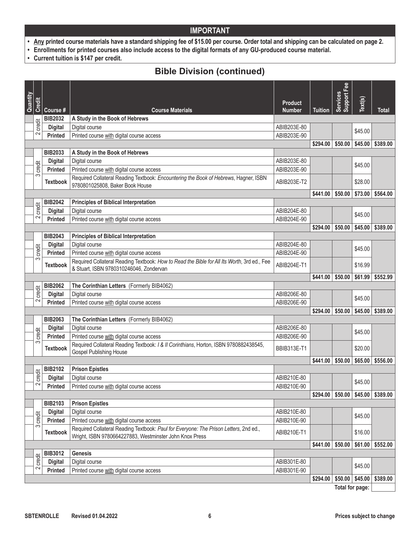- **• Any printed course materials have a standard shipping fee of \$15.00 per course. Order total and shipping can be calculated on page 2.**
- **• Enrollments for printed courses also include access to the digital formats of any GU-produced course material.**
- **• Current tuition is \$147 per credit.**

## **Bible Division (continued)**

| Quantity |               |                 |                                                                                                                                                  |                                 |                | Support Fee<br>Services |         |              |
|----------|---------------|-----------------|--------------------------------------------------------------------------------------------------------------------------------------------------|---------------------------------|----------------|-------------------------|---------|--------------|
|          | <b>Credit</b> | Course #        | <b>Course Materials</b>                                                                                                                          | <b>Product</b><br><b>Number</b> | <b>Tuition</b> |                         | Text(s) | <b>Total</b> |
|          |               | <b>BIB2032</b>  | A Study in the Book of Hebrews                                                                                                                   |                                 |                |                         |         |              |
|          | credit        | <b>Digital</b>  | Digital course                                                                                                                                   | ABIB203E-80                     |                |                         | \$45.00 |              |
|          | $\sim$        | <b>Printed</b>  | Printed course with digital course access                                                                                                        | ABIB203E-90                     |                |                         |         |              |
|          |               |                 |                                                                                                                                                  |                                 | \$294.00       | \$50.00                 | \$45.00 | \$389.00     |
|          |               | <b>BIB2033</b>  | A Study in the Book of Hebrews                                                                                                                   |                                 |                |                         |         |              |
|          | credit        | <b>Digital</b>  | Digital course                                                                                                                                   | ABIB203E-80                     |                |                         | \$45.00 |              |
|          | က             | <b>Printed</b>  | Printed course with digital course access                                                                                                        | ABIB203E-90                     |                |                         |         |              |
|          |               | <b>Textbook</b> | Required Collateral Reading Textbook: Encountering the Book of Hebrews, Hagner, ISBN<br>9780801025808, Baker Book House                          | ABIB203E-T2                     |                |                         | \$28.00 |              |
|          |               |                 |                                                                                                                                                  |                                 | \$441.00       | \$50.00                 | \$73.00 | \$564.00     |
|          | credit        | <b>BIB2042</b>  | <b>Principles of Biblical Interpretation</b>                                                                                                     |                                 |                |                         |         |              |
|          |               | <b>Digital</b>  | Digital course                                                                                                                                   | ABIB204E-80                     |                |                         | \$45.00 |              |
|          | $\sim$        | <b>Printed</b>  | Printed course with digital course access                                                                                                        | ABIB204E-90                     |                |                         |         |              |
|          |               |                 |                                                                                                                                                  |                                 | \$294.00       | \$50.00                 | \$45.00 | \$389.00     |
|          |               | <b>BIB2043</b>  | <b>Principles of Biblical Interpretation</b>                                                                                                     |                                 |                |                         |         |              |
|          | credit        | <b>Digital</b>  | Digital course                                                                                                                                   | ABIB204E-80                     |                |                         | \$45.00 |              |
|          | က             | <b>Printed</b>  | Printed course with digital course access<br>Required Collateral Reading Textbook: How to Read the Bible for All Its Worth, 3rd ed., Fee         | ABIB204E-90                     |                |                         |         |              |
|          |               | <b>Textbook</b> | & Stuart, ISBN 9780310246046, Zondervan                                                                                                          | ABIB204E-T1                     |                |                         | \$16.99 |              |
|          |               |                 |                                                                                                                                                  |                                 | \$441.00       | \$50.00                 | \$61.99 | \$552.99     |
|          | credit        | <b>BIB2062</b>  | The Corinthian Letters (Formerly BIB4062)                                                                                                        |                                 |                |                         |         |              |
|          | 2             | <b>Digital</b>  | Digital course                                                                                                                                   | ABIB206E-80                     |                |                         | \$45.00 |              |
|          |               | <b>Printed</b>  | Printed course with digital course access                                                                                                        | ABIB206E-90                     |                |                         |         |              |
|          |               |                 |                                                                                                                                                  |                                 | \$294.00       | \$50.00                 | \$45.00 | \$389.00     |
|          |               | <b>BIB2063</b>  | The Corinthian Letters (Formerly BIB4062)                                                                                                        |                                 |                |                         |         |              |
|          | credit        | <b>Digital</b>  | Digital course                                                                                                                                   | ABIB206E-80                     |                |                         | \$45.00 |              |
|          | 3             | <b>Printed</b>  | Printed course with digital course access<br>Required Collateral Reading Textbook: / & II Corinthians, Horton, ISBN 9780882438545,               | ABIB206E-90                     |                |                         |         |              |
|          |               | <b>Textbook</b> | <b>Gospel Publishing House</b>                                                                                                                   | <b>BBIB313E-T1</b>              |                |                         | \$20.00 |              |
|          |               |                 |                                                                                                                                                  |                                 | \$441.00       | \$50.00                 | \$65.00 | \$556.00     |
|          | credit        | <b>BIB2102</b>  | <b>Prison Epistles</b>                                                                                                                           |                                 |                |                         |         |              |
|          | $\sim$        | <b>Digital</b>  | Digital course                                                                                                                                   | ABIB210E-80                     |                |                         | \$45.00 |              |
|          |               | Printed         | Printed course with digital course access                                                                                                        | ABIB210E-90                     |                |                         |         |              |
|          |               |                 |                                                                                                                                                  |                                 | \$294.00       | \$50.00                 | \$45.00 | \$389.00     |
|          |               | <b>BIB2103</b>  | <b>Prison Epistles</b>                                                                                                                           |                                 |                |                         |         |              |
|          | credit        | <b>Digital</b>  | Digital course                                                                                                                                   | ABIB210E-80                     |                |                         | \$45.00 |              |
|          | S             | <b>Printed</b>  | Printed course with digital course access                                                                                                        | ABIB210E-90                     |                |                         |         |              |
|          |               | <b>Textbook</b> | Required Collateral Reading Textbook: Paul for Everyone: The Prison Letters, 2nd ed.,<br>Wright, ISBN 9780664227883, Westminster John Knox Press | ABIB210E-T1                     |                |                         | \$16.00 |              |
|          |               |                 |                                                                                                                                                  |                                 | \$441.00       | \$50.00                 | \$61.00 | \$552.00     |
|          | credit        | <b>BIB3012</b>  | <b>Genesis</b>                                                                                                                                   |                                 |                |                         |         |              |
|          |               | <b>Digital</b>  | Digital course                                                                                                                                   | ABIB301E-80                     |                |                         | \$45.00 |              |
|          | 2             | <b>Printed</b>  | Printed course with digital course access                                                                                                        | ABIB301E-90                     |                |                         |         |              |
|          |               |                 |                                                                                                                                                  |                                 | \$294.00       | \$50.00                 | \$45.00 | \$389.00     |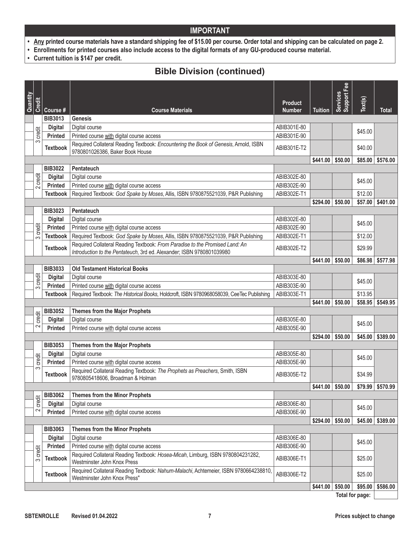- **• Any printed course materials have a standard shipping fee of \$15.00 per course. Order total and shipping can be calculated on page 2.**
- **• Enrollments for printed courses also include access to the digital formats of any GU-produced course material.**
- **• Current tuition is \$147 per credit.**

# **Bible Division (continued)**

|          |                    |                                  |                                                                                                                                                       |                                 |                | Support Fee        |                 |                  |
|----------|--------------------|----------------------------------|-------------------------------------------------------------------------------------------------------------------------------------------------------|---------------------------------|----------------|--------------------|-----------------|------------------|
| Quantity | Credit             | Course#                          | <b>Course Materials</b>                                                                                                                               | <b>Product</b><br><b>Number</b> | <b>Tuition</b> | Services           | Text(s)         | Total            |
|          |                    | <b>BIB3013</b>                   | <b>Genesis</b>                                                                                                                                        |                                 |                |                    |                 |                  |
|          |                    | <b>Digital</b>                   | Digital course                                                                                                                                        | ABIB301E-80                     |                |                    |                 |                  |
|          | credit             | <b>Printed</b>                   | Printed course with digital course access                                                                                                             | ABIB301E-90                     |                |                    | \$45.00         |                  |
|          | က                  | <b>Textbook</b>                  | Required Collateral Reading Textbook: Encountering the Book of Genesis, Arnold, ISBN                                                                  |                                 |                |                    |                 |                  |
|          |                    |                                  | 9780801026386, Baker Book House                                                                                                                       | ABIB301E-T2                     |                |                    | \$40.00         |                  |
|          |                    |                                  |                                                                                                                                                       |                                 | \$441.00       | \$50.00            | \$85.00         | \$576.00         |
|          |                    | <b>BIB3022</b>                   | Pentateuch                                                                                                                                            |                                 |                |                    |                 |                  |
|          | credit             | <b>Digital</b>                   | Digital course                                                                                                                                        | ABIB302E-80                     |                |                    | \$45.00         |                  |
|          | $\sim$             | <b>Printed</b>                   | Printed course with digital course access                                                                                                             | ABIB302E-90                     |                |                    |                 |                  |
|          |                    | <b>Textbook</b>                  | Required Textbook: God Spake by Moses, Allis, ISBN 9780875521039, P&R Publishing                                                                      | ABIB302E-T1                     |                |                    | \$12.00         |                  |
|          |                    |                                  |                                                                                                                                                       |                                 | \$294.00       | \$50.00            | \$57.00         | \$401.00         |
|          |                    | <b>BIB3023</b>                   | Pentateuch                                                                                                                                            |                                 |                |                    |                 |                  |
|          |                    | <b>Digital</b>                   | Digital course                                                                                                                                        | ABIB302E-80                     |                |                    | \$45.00         |                  |
|          | credit             | <b>Printed</b>                   | Printed course with digital course access                                                                                                             | ABIB302E-90                     |                |                    |                 |                  |
|          | က                  | <b>Textbook</b>                  | Required Textbook: God Spake by Moses, Allis, ISBN 9780875521039, P&R Publishing                                                                      | ABIB302E-T1                     |                |                    | \$12.00         |                  |
|          |                    | <b>Textbook</b>                  | Required Collateral Reading Textbook: From Paradise to the Promised Land: An<br>Introduction to the Pentateuch, 3rd ed. Alexander; ISBN 9780801039980 | ABIB302E-T2                     |                |                    | \$29.99         |                  |
|          |                    |                                  |                                                                                                                                                       |                                 | \$441.00       | \$50.00            | \$86.98         | \$577.98         |
|          |                    | <b>BIB3033</b>                   | <b>Old Testament Historical Books</b>                                                                                                                 |                                 |                |                    |                 |                  |
|          |                    | <b>Digital</b>                   | Digital course                                                                                                                                        | ABIB303E-80                     |                |                    |                 |                  |
|          | credit             | <b>Printed</b>                   | Printed course with digital course access                                                                                                             | ABIB303E-90                     |                |                    | \$45.00         |                  |
|          | က                  | <b>Textbook</b>                  | Required Textbook: The Historical Books, Holdcroft, ISBN 9780968058039, CeeTec Publishing                                                             | ABIB303E-T1                     |                |                    | \$13.95         |                  |
|          |                    |                                  |                                                                                                                                                       |                                 | \$441.00       | \$50.00            | \$58.95         | \$549.95         |
|          |                    | <b>BIB3052</b>                   | <b>Themes from the Major Prophets</b>                                                                                                                 |                                 |                |                    |                 |                  |
|          | credit             | <b>Digital</b>                   | Digital course                                                                                                                                        | ABIB305E-80                     |                |                    |                 |                  |
|          | $\sim$             | <b>Printed</b>                   | Printed course with digital course access                                                                                                             | ABIB305E-90                     |                |                    | \$45.00         |                  |
|          |                    |                                  |                                                                                                                                                       |                                 | \$294.00       | \$50.00            | \$45.00         | \$389.00         |
|          |                    | <b>BIB3053</b>                   | <b>Themes from the Major Prophets</b>                                                                                                                 |                                 |                |                    |                 |                  |
|          |                    |                                  | Digital course                                                                                                                                        | ABIB305E-80                     |                |                    |                 |                  |
|          | credit             | <b>Digital</b><br><b>Printed</b> | Printed course with digital course access                                                                                                             | ABIB305E-90                     |                |                    | \$45.00         |                  |
|          | က                  |                                  | Required Collateral Reading Textbook: The Prophets as Preachers, Smith, ISBN                                                                          |                                 |                |                    |                 |                  |
|          |                    | <b>Textbook</b>                  | 9780805418606, Broadman & Holman                                                                                                                      | ABIB305E-T2                     |                |                    | \$34.99         |                  |
|          |                    |                                  |                                                                                                                                                       |                                 |                | $$441.00$ $$50.00$ |                 | \$79.99 \$570.99 |
|          |                    | <b>BIB3062</b>                   | Themes from the Minor Prophets                                                                                                                        |                                 |                |                    |                 |                  |
|          | credit             | <b>Digital</b>                   | Digital course                                                                                                                                        | ABIB306E-80                     |                |                    |                 |                  |
|          | 2                  | <b>Printed</b>                   | Printed course with digital course access                                                                                                             | ABIB306E-90                     |                |                    | \$45.00         |                  |
|          |                    |                                  |                                                                                                                                                       |                                 | \$294.00       | \$50.00            | \$45.00         | \$389.00         |
|          |                    | <b>BIB3063</b>                   | <b>Themes from the Minor Prophets</b>                                                                                                                 |                                 |                |                    |                 |                  |
|          |                    | <b>Digital</b>                   | Digital course                                                                                                                                        | ABIB306E-80                     |                |                    |                 |                  |
|          |                    | <b>Printed</b>                   | Printed course with digital course access                                                                                                             | ABIB306E-90                     |                |                    | \$45.00         |                  |
|          | credit<br>$\infty$ | <b>Textbook</b>                  | Required Collateral Reading Textbook: Hosea-Micah, Limburg, ISBN 9780804231282,<br>Westminster John Knox Press                                        | ABIB306E-T1                     |                |                    | \$25.00         |                  |
|          |                    |                                  | Required Collateral Reading Textbook: Nahum-Malachi, Achtemeier, ISBN 9780664238810,                                                                  |                                 |                |                    |                 |                  |
|          |                    | <b>Textbook</b>                  | Westminster John Knox Press"                                                                                                                          | ABIB306E-T2                     |                |                    | \$25.00         |                  |
|          |                    |                                  |                                                                                                                                                       |                                 | \$441.00       | \$50.00            | \$95.00         | \$586.00         |
|          |                    |                                  |                                                                                                                                                       |                                 |                |                    | Total for page: |                  |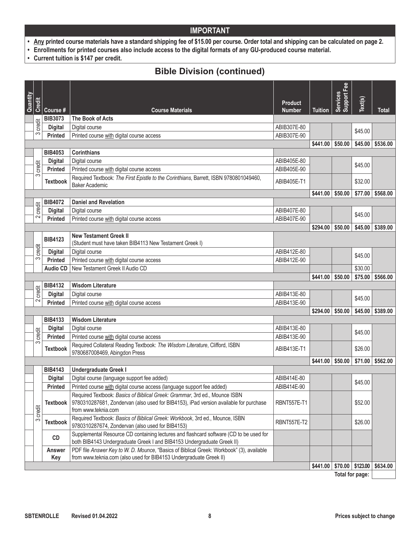- **• Any printed course materials have a standard shipping fee of \$15.00 per course. Order total and shipping can be calculated on page 2.**
- **• Enrollments for printed courses also include access to the digital formats of any GU-produced course material.**
- **• Current tuition is \$147 per credit.**

## **Bible Division (continued)**

| Quantity |               |                 |                                                                                                                                                                                            | <b>Product</b> |                        | Services<br>Support Fee | Text(s)           |          |
|----------|---------------|-----------------|--------------------------------------------------------------------------------------------------------------------------------------------------------------------------------------------|----------------|------------------------|-------------------------|-------------------|----------|
|          | <b>Credit</b> | Course #        | <b>Course Materials</b>                                                                                                                                                                    | <b>Number</b>  | <b>Tuition</b>         |                         |                   | Total    |
|          |               | <b>BIB3073</b>  | The Book of Acts                                                                                                                                                                           |                |                        |                         |                   |          |
|          | credit<br>3   | <b>Digital</b>  | Digital course                                                                                                                                                                             | ABIB307E-80    |                        |                         | \$45.00           |          |
|          |               | <b>Printed</b>  | Printed course with digital course access                                                                                                                                                  | ABIB307E-90    |                        |                         |                   |          |
|          |               | <b>BIB4053</b>  | <b>Corinthians</b>                                                                                                                                                                         |                | $$441.00 \; \; $50.00$ |                         | \$45.00           | \$536.00 |
|          |               | <b>Digital</b>  | Digital course                                                                                                                                                                             | ABIB405E-80    |                        |                         |                   |          |
|          | credit        | <b>Printed</b>  | Printed course with digital course access                                                                                                                                                  | ABIB405E-90    |                        |                         | \$45.00           |          |
|          | က             |                 | Required Textbook: The First Epistle to the Corinthians, Barrett, ISBN 9780801049460,                                                                                                      |                |                        |                         |                   |          |
|          |               | <b>Textbook</b> | <b>Baker Academic</b>                                                                                                                                                                      | ABIB405E-T1    |                        |                         | \$32.00           |          |
|          |               |                 |                                                                                                                                                                                            |                | \$441.00               | \$50.00                 | \$77.00           | \$568.00 |
|          |               | <b>BIB4072</b>  | <b>Daniel and Revelation</b>                                                                                                                                                               |                |                        |                         |                   |          |
|          | credit        | <b>Digital</b>  | Digital course                                                                                                                                                                             | ABIB407E-80    |                        |                         | \$45.00           |          |
|          | 2             | <b>Printed</b>  | Printed course with digital course access                                                                                                                                                  | ABIB407E-90    |                        |                         |                   |          |
|          |               |                 |                                                                                                                                                                                            |                | \$294.00               | \$50.00                 | \$45.00           | \$389.00 |
|          |               | <b>BIB4123</b>  | <b>New Testament Greek II</b><br>(Student must have taken BIB4113 New Testament Greek I)                                                                                                   |                |                        |                         |                   |          |
|          | credit        | <b>Digital</b>  | Digital course                                                                                                                                                                             | ABIB412E-80    |                        |                         | \$45.00           |          |
|          | S             | <b>Printed</b>  | Printed course with digital course access                                                                                                                                                  | ABIB412E-90    |                        |                         |                   |          |
|          |               | <b>Audio CD</b> | New Testament Greek II Audio CD                                                                                                                                                            |                |                        |                         | \$30.00           |          |
|          |               |                 |                                                                                                                                                                                            |                | \$441.00               | \$50.00                 | \$75.00           | \$566.00 |
|          | credit        | <b>BIB4132</b>  | <b>Wisdom Literature</b>                                                                                                                                                                   |                |                        |                         |                   |          |
|          | $\sim$        | <b>Digital</b>  | Digital course                                                                                                                                                                             | ABIB413E-80    |                        |                         | \$45.00           |          |
|          |               | <b>Printed</b>  | Printed course with digital course access                                                                                                                                                  | ABIB413E-90    |                        |                         |                   |          |
|          |               | <b>BIB4133</b>  | <b>Wisdom Literature</b>                                                                                                                                                                   |                | \$294.00               | \$50.00                 | \$45.00           | \$389.00 |
|          |               | <b>Digital</b>  | Digital course                                                                                                                                                                             | ABIB413E-80    |                        |                         |                   |          |
|          | credit        | Printed         | Printed course with digital course access                                                                                                                                                  | ABIB413E-90    |                        |                         | \$45.00           |          |
|          | က             |                 | Required Collateral Reading Textbook: The Wisdom Literature, Clifford, ISBN                                                                                                                |                |                        |                         |                   |          |
|          |               | <b>Textbook</b> | 9780687008469, Abingdon Press                                                                                                                                                              | ABIB413E-T1    |                        |                         | \$26.00           |          |
|          |               |                 |                                                                                                                                                                                            |                | \$441.00               | \$50.00                 | \$71.00           | \$562.00 |
|          |               | <b>BIB4143</b>  | Undergraduate Greek I                                                                                                                                                                      |                |                        |                         |                   |          |
|          |               | <b>Digital</b>  | Digital course (language support fee added)                                                                                                                                                | ABIB414E-80    |                        |                         | \$45.00           |          |
|          |               | Printed         | Printed course with digital course access (language support fee added)                                                                                                                     | ABIB414E-90    |                        |                         |                   |          |
|          | credit        | <b>Textbook</b> | Required Textbook: Basics of Biblical Greek: Grammar, 3rd ed., Mounce ISBN<br>9780310287681, Zondervan (also used for BIB4153), iPad version available for purchase<br>from www.teknia.com | RBNT557E-T1    |                        |                         | \$52.00           |          |
|          | S             | <b>Textbook</b> | Required Textbook: Basics of Biblical Greek: Workbook, 3rd ed., Mounce, ISBN<br>9780310287674, Zondervan (also used for BIB4153)                                                           | RBNT557E-T2    |                        |                         | \$26.00           |          |
|          |               | CD              | Supplemental Resource CD containing lectures and flashcard software (CD to be used for<br>both BIB4143 Undergraduate Greek I and BIB4153 Undergraduate Greek II)                           |                |                        |                         |                   |          |
|          |               | Answer<br>Key   | PDF file Answer Key to W. D. Mounce, "Basics of Biblical Greek: Workbook" (3), available<br>from www.teknia.com (also used for BIB4153 Undergraduate Greek II)                             |                |                        |                         |                   |          |
|          |               |                 |                                                                                                                                                                                            |                | \$441.00               |                         | $$70.00$ \$123.00 | \$634.00 |
|          |               |                 |                                                                                                                                                                                            |                |                        |                         | Total for page:   |          |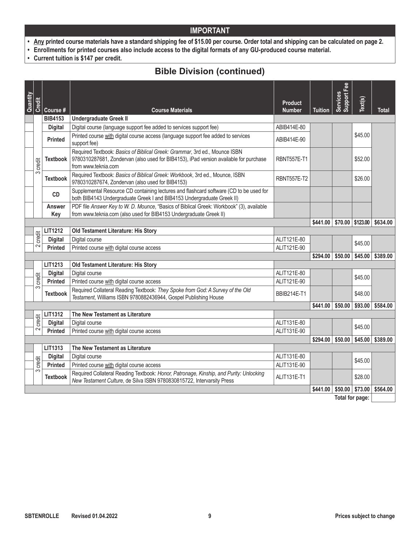- **• Any printed course materials have a standard shipping fee of \$15.00 per course. Order total and shipping can be calculated on page 2.**
- **• Enrollments for printed courses also include access to the digital formats of any GU-produced course material.**
- **• Current tuition is \$147 per credit.**

### **Bible Division (continued)**

| Quantity | <b>Credit</b> |                      |                                                                                                                                                                                            | <b>Product</b>     |                                                  | Support Fee<br>Services | Text(s) |              |
|----------|---------------|----------------------|--------------------------------------------------------------------------------------------------------------------------------------------------------------------------------------------|--------------------|--------------------------------------------------|-------------------------|---------|--------------|
|          |               | Course #             | <b>Course Materials</b>                                                                                                                                                                    | <b>Number</b>      | <b>Tuition</b>                                   |                         |         | <b>Total</b> |
|          |               | <b>BIB4153</b>       | <b>Undergraduate Greek II</b>                                                                                                                                                              |                    |                                                  |                         |         |              |
|          |               | <b>Digital</b>       | Digital course (language support fee added to services support fee)                                                                                                                        | ABIB414E-80        |                                                  |                         |         |              |
|          |               | <b>Printed</b>       | Printed course with digital course access (language support fee added to services<br>support fee)                                                                                          | ABIB414E-90        |                                                  |                         | \$45.00 |              |
|          | credit        | <b>Textbook</b>      | Required Textbook: Basics of Biblical Greek: Grammar, 3rd ed., Mounce ISBN<br>9780310287681, Zondervan (also used for BIB4153), iPad version available for purchase<br>from www.teknia.com | <b>RBNT557E-T1</b> |                                                  |                         | \$52.00 |              |
|          | က             | <b>Textbook</b>      | Required Textbook: Basics of Biblical Greek: Workbook, 3rd ed., Mounce, ISBN<br>9780310287674, Zondervan (also used for BIB4153)                                                           | <b>RBNT557E-T2</b> |                                                  |                         | \$26.00 |              |
|          |               | CD                   | Supplemental Resource CD containing lectures and flashcard software (CD to be used for<br>both BIB4143 Undergraduate Greek I and BIB4153 Undergraduate Greek II)                           |                    |                                                  |                         |         |              |
|          |               | <b>Answer</b><br>Key | PDF file Answer Key to W. D. Mounce, "Basics of Biblical Greek: Workbook" (3), available<br>from www.teknia.com (also used for BIB4153 Undergraduate Greek II)                             |                    |                                                  |                         |         |              |
|          |               |                      |                                                                                                                                                                                            |                    | $$441.00 \;   \; $70.00 \;   \; $123.00 \;   \;$ |                         |         | \$634.00     |
|          |               | <b>LIT1212</b>       | Old Testament Literature: His Story                                                                                                                                                        |                    |                                                  |                         |         |              |
|          | credit        | <b>Digital</b>       | Digital course                                                                                                                                                                             | ALIT121E-80        |                                                  |                         | \$45.00 |              |
|          | $\sim$        | <b>Printed</b>       | Printed course with digital course access                                                                                                                                                  | ALIT121E-90        |                                                  |                         |         |              |
|          |               |                      |                                                                                                                                                                                            |                    | $$294.00$ $$50.00$                               |                         | \$45.00 | \$389.00     |
|          |               | LIT1213              | Old Testament Literature: His Story                                                                                                                                                        |                    |                                                  |                         |         |              |
|          |               | <b>Digital</b>       | Digital course                                                                                                                                                                             | ALIT121E-80        |                                                  |                         | \$45.00 |              |
|          | credit        | <b>Printed</b>       | Printed course with digital course access                                                                                                                                                  | ALIT121E-90        |                                                  |                         |         |              |
|          | က             | <b>Textbook</b>      | Required Collateral Reading Textbook: They Spoke from God: A Survey of the Old<br>Testament, Williams ISBN 9780882436944, Gospel Publishing House                                          | <b>BBIB214E-T1</b> |                                                  |                         | \$48.00 |              |
|          |               |                      |                                                                                                                                                                                            |                    | \$441.00                                         | \$50.00                 | \$93.00 | \$584.00     |
|          |               | LIT1312              | The New Testament as Literature                                                                                                                                                            |                    |                                                  |                         |         |              |
|          | credit        | <b>Digital</b>       | Digital course                                                                                                                                                                             | ALIT131E-80        |                                                  |                         | \$45.00 |              |
|          | $\sim$        | <b>Printed</b>       | Printed course with digital course access                                                                                                                                                  | ALIT131E-90        |                                                  |                         |         |              |
|          |               |                      |                                                                                                                                                                                            |                    | \$294.00                                         | \$50.00                 | \$45.00 | \$389.00     |
|          |               | LIT1313              | The New Testament as Literature                                                                                                                                                            |                    |                                                  |                         |         |              |
|          |               | <b>Digital</b>       | Digital course                                                                                                                                                                             | ALIT131E-80        |                                                  |                         | \$45.00 |              |
|          | credit        | Printed              | Printed course with digital course access                                                                                                                                                  | ALIT131E-90        |                                                  |                         |         |              |
|          | $\infty$      | <b>Textbook</b>      | Required Collateral Reading Textbook: Honor, Patronage, Kinship, and Purity: Unlocking<br>New Testament Culture, de Silva ISBN 9780830815722, Intervarsity Press                           | ALIT131E-T1        |                                                  |                         | \$28.00 |              |
|          |               |                      |                                                                                                                                                                                            |                    | \$441.00                                         | \$50.00                 | \$73.00 | \$564.00     |
|          |               |                      |                                                                                                                                                                                            |                    |                                                  | Total for page:         |         |              |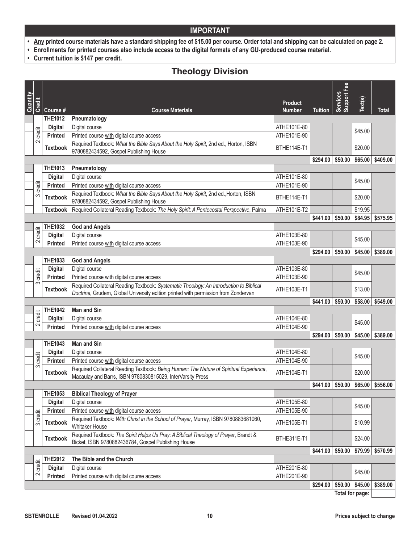- **• Any printed course materials have a standard shipping fee of \$15.00 per course. Order total and shipping can be calculated on page 2.**
- **• Enrollments for printed courses also include access to the digital formats of any GU-produced course material.**
- **• Current tuition is \$147 per credit.**

# **Theology Division**

| Quantity |        |                 |                                                                                                                                                                              |                                 |                    | Fee<br>Services<br>Support I |         |                                                |
|----------|--------|-----------------|------------------------------------------------------------------------------------------------------------------------------------------------------------------------------|---------------------------------|--------------------|------------------------------|---------|------------------------------------------------|
|          | Credit | Course#         | <b>Course Materials</b>                                                                                                                                                      | <b>Product</b><br><b>Number</b> | <b>Tuition</b>     |                              | Text(s) | Total                                          |
|          |        | <b>THE1012</b>  | Pneumatology                                                                                                                                                                 |                                 |                    |                              |         |                                                |
|          |        | <b>Digital</b>  | Digital course                                                                                                                                                               | ATHE101E-80                     |                    |                              | \$45.00 |                                                |
|          | credit | <b>Printed</b>  | Printed course with digital course access                                                                                                                                    | ATHE101E-90                     |                    |                              |         |                                                |
|          | $\sim$ | <b>Textbook</b> | Required Textbook: What the Bible Says About the Holy Spirit, 2nd ed., Horton, ISBN<br>9780882434592, Gospel Publishing House                                                | BTHE114E-T1                     |                    |                              | \$20.00 |                                                |
|          |        |                 |                                                                                                                                                                              |                                 | \$294.00           | \$50.00                      | \$65.00 | \$409.00                                       |
|          |        | <b>THE1013</b>  | Pneumatology                                                                                                                                                                 |                                 |                    |                              |         |                                                |
|          |        | <b>Digital</b>  | Digital course                                                                                                                                                               | ATHE101E-80                     |                    |                              |         |                                                |
|          | credit | <b>Printed</b>  | Printed course with digital course access                                                                                                                                    | ATHE101E-90                     |                    |                              | \$45.00 |                                                |
|          | က      | <b>Textbook</b> | Required Textbook: What the Bible Says About the Holy Spirit, 2nd ed., Horton, ISBN<br>9780882434592, Gospel Publishing House                                                | BTHE114E-T1                     |                    |                              | \$20.00 |                                                |
|          |        | <b>Textbook</b> | Required Collateral Reading Textbook: The Holy Spirit: A Pentecostal Perspective, Palma                                                                                      | ATHE101E-T2                     |                    |                              | \$19.95 |                                                |
|          |        |                 |                                                                                                                                                                              |                                 | \$441.00           | \$50.00                      | \$84.95 | \$575.95                                       |
|          |        | <b>THE1032</b>  | <b>God and Angels</b>                                                                                                                                                        |                                 |                    |                              |         |                                                |
|          | credit | <b>Digital</b>  | Digital course                                                                                                                                                               | ATHE103E-80                     |                    |                              | \$45.00 |                                                |
|          | 2      | <b>Printed</b>  | Printed course with digital course access                                                                                                                                    | ATHE103E-90                     |                    |                              |         |                                                |
|          |        |                 |                                                                                                                                                                              |                                 | \$294.00           | \$50.00                      | \$45.00 | \$389.00                                       |
|          |        | <b>THE1033</b>  | <b>God and Angels</b>                                                                                                                                                        |                                 |                    |                              |         |                                                |
|          |        | <b>Digital</b>  | Digital course                                                                                                                                                               | ATHE103E-80                     |                    |                              | \$45.00 |                                                |
|          | credit | <b>Printed</b>  | Printed course with digital course access                                                                                                                                    | ATHE103E-90                     |                    |                              |         |                                                |
|          | က      | <b>Textbook</b> | Required Collateral Reading Textbook: Systematic Theology: An Introduction to Biblical<br>Doctrine, Grudem, Global University edition printed with permission from Zondervan | ATHE103E-T1                     |                    |                              | \$13.00 |                                                |
|          |        |                 |                                                                                                                                                                              |                                 | \$441.00           | \$50.00                      | \$58.00 | \$549.00                                       |
|          |        | <b>THE1042</b>  | <b>Man and Sin</b>                                                                                                                                                           |                                 |                    |                              |         |                                                |
|          | credit | <b>Digital</b>  | Digital course                                                                                                                                                               | ATHE104E-80                     |                    |                              | \$45.00 |                                                |
|          | 2      | <b>Printed</b>  | Printed course with digital course access                                                                                                                                    | ATHE104E-90                     |                    |                              |         |                                                |
|          |        |                 |                                                                                                                                                                              |                                 | \$294.00           | \$50.00                      | \$45.00 | \$389.00                                       |
|          |        | <b>THE1043</b>  | <b>Man and Sin</b>                                                                                                                                                           |                                 |                    |                              |         |                                                |
|          |        | <b>Digital</b>  | Digital course                                                                                                                                                               | ATHE104E-80                     |                    |                              | \$45.00 |                                                |
|          | credit | <b>Printed</b>  | Printed course with digital course access                                                                                                                                    | ATHE104E-90                     |                    |                              |         |                                                |
|          | က      | <b>Textbook</b> | Required Collateral Reading Textbook: Being Human: The Nature of Spiritual Experience,<br>Macaulay and Barrs, ISBN 9780830815029, InterVarsity Press                         | ATHE104E-T1                     |                    |                              | \$20.00 |                                                |
|          |        |                 |                                                                                                                                                                              |                                 |                    |                              |         | $$441.00 \mid $50.00 \mid $65.00 \mid $556.00$ |
|          |        | <b>THE1053</b>  | <b>Biblical Theology of Prayer</b>                                                                                                                                           |                                 |                    |                              |         |                                                |
|          |        | <b>Digital</b>  | Digital course                                                                                                                                                               | ATHE105E-80                     |                    |                              | \$45.00 |                                                |
|          | credit | <b>Printed</b>  | Printed course with digital course access                                                                                                                                    | ATHE105E-90                     |                    |                              |         |                                                |
|          | 3      | <b>Textbook</b> | Required Textbook: With Christ in the School of Prayer, Murray, ISBN 9780883681060,<br>Whitaker House                                                                        | ATHE105E-T1                     |                    |                              | \$10.99 |                                                |
|          |        | <b>Textbook</b> | Required Textbook: The Spirit Helps Us Pray: A Biblical Theology of Prayer, Brandt &<br>Bicket, ISBN 9780882436784, Gospel Publishing House                                  | BTHE311E-T1                     |                    |                              | \$24.00 |                                                |
|          |        |                 |                                                                                                                                                                              |                                 | $$441.00$ $$50.00$ |                              | \$79.99 | \$570.99                                       |
|          |        | <b>THE2012</b>  | The Bible and the Church                                                                                                                                                     |                                 |                    |                              |         |                                                |
|          | credit | <b>Digital</b>  | Digital course                                                                                                                                                               | ATHE201E-80                     |                    |                              | \$45.00 |                                                |
|          | 2      | <b>Printed</b>  | Printed course with digital course access                                                                                                                                    | ATHE201E-90                     |                    |                              |         |                                                |
|          |        |                 |                                                                                                                                                                              |                                 | \$294.00           | \$50.00                      | \$45.00 | \$389.00                                       |
|          |        |                 |                                                                                                                                                                              |                                 |                    | Total for page:              |         |                                                |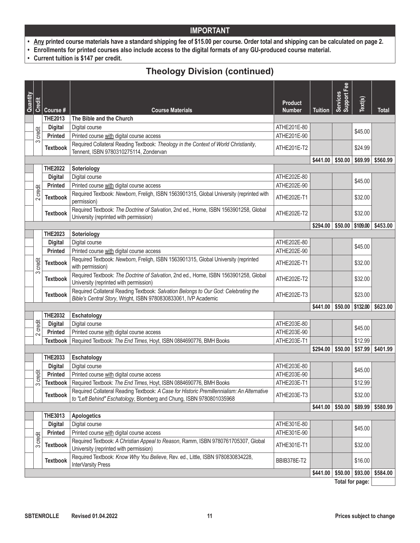- **• Any printed course materials have a standard shipping fee of \$15.00 per course. Order total and shipping can be calculated on page 2.**
- **• Enrollments for printed courses also include access to the digital formats of any GU-produced course material.**
- **• Current tuition is \$147 per credit.**

# **Theology Division (continued)**

| Quantity |        |                 |                                                                                                                                                                    | <b>Product</b> |                                          | Fee<br>Services<br>Support I |          |          |
|----------|--------|-----------------|--------------------------------------------------------------------------------------------------------------------------------------------------------------------|----------------|------------------------------------------|------------------------------|----------|----------|
|          | Credit | Course #        | <b>Course Materials</b>                                                                                                                                            | <b>Number</b>  | <b>Tuition</b>                           |                              | Text(s)  | Total    |
|          |        | <b>THE2013</b>  | The Bible and the Church                                                                                                                                           |                |                                          |                              |          |          |
|          |        | <b>Digital</b>  | Digital course                                                                                                                                                     | ATHE201E-80    |                                          |                              | \$45.00  |          |
|          | credit | <b>Printed</b>  | Printed course with digital course access                                                                                                                          | ATHE201E-90    |                                          |                              |          |          |
|          | 3      | <b>Textbook</b> | Required Collateral Reading Textbook: Theology in the Context of World Christianity,<br>Tennent, ISBN 9780310275114, Zondervan                                     | ATHE201E-T2    |                                          |                              | \$24.99  |          |
|          |        |                 |                                                                                                                                                                    |                | \$441.00                                 | \$50.00                      | \$69.99  | \$560.99 |
|          |        | <b>THE2022</b>  | Soteriology                                                                                                                                                        |                |                                          |                              |          |          |
|          |        | <b>Digital</b>  | Digital course                                                                                                                                                     | ATHE202E-80    |                                          |                              | \$45.00  |          |
|          | credit | <b>Printed</b>  | Printed course with digital course access                                                                                                                          | ATHE202E-90    |                                          |                              |          |          |
|          | $\sim$ | <b>Textbook</b> | Required Textbook: Newborn, Freligh, ISBN 1563901315, Global University (reprinted with<br>permission)                                                             | ATHE202E-T1    |                                          |                              | \$32.00  |          |
|          |        | <b>Textbook</b> | Required Textbook: The Doctrine of Salvation, 2nd ed., Horne, ISBN 1563901258, Global<br>University (reprinted with permission)                                    | ATHE202E-T2    |                                          |                              | \$32.00  |          |
|          |        |                 |                                                                                                                                                                    |                | \$294.00                                 | \$50.00                      | \$109.00 | \$453.00 |
|          |        | <b>THE2023</b>  | Soteriology                                                                                                                                                        |                |                                          |                              |          |          |
|          |        | <b>Digital</b>  | Digital course                                                                                                                                                     | ATHE202E-80    |                                          |                              | \$45.00  |          |
|          |        | <b>Printed</b>  | Printed course with digital course access                                                                                                                          | ATHE202E-90    |                                          |                              |          |          |
|          | credit | <b>Textbook</b> | Required Textbook: Newborn, Freligh, ISBN 1563901315, Global University (reprinted<br>with permission)                                                             | ATHE202E-T1    |                                          |                              | \$32.00  |          |
|          | က      | <b>Textbook</b> | Required Textbook: The Doctrine of Salvation, 2nd ed., Horne, ISBN 1563901258, Global<br>University (reprinted with permission)                                    | ATHE202E-T2    |                                          |                              | \$32.00  |          |
|          |        | <b>Textbook</b> | Required Collateral Reading Textbook: Salvation Belongs to Our God: Celebrating the<br>Bible's Central Story, Wright, ISBN 9780830833061, IVP Academic             | ATHE202E-T3    |                                          |                              | \$23.00  |          |
|          |        |                 |                                                                                                                                                                    |                | $$441.00 \;   \; $50.00 \;   \; $132.00$ |                              |          | \$623.00 |
|          |        | <b>THE2032</b>  | Eschatology                                                                                                                                                        |                |                                          |                              |          |          |
|          | credit | <b>Digital</b>  | Digital course                                                                                                                                                     | ATHE203E-80    |                                          |                              | \$45.00  |          |
|          | $\sim$ | Printed         | Printed course with digital course access                                                                                                                          | ATHE203E-90    |                                          |                              |          |          |
|          |        | <b>Textbook</b> | Required Textbook: The End Times, Hoyt, ISBN 0884690776, BMH Books                                                                                                 | ATHE203E-T1    |                                          |                              | \$12.99  |          |
|          |        |                 |                                                                                                                                                                    |                | \$294.00                                 | \$50.00                      | \$57.99  | \$401.99 |
|          |        | <b>THE2033</b>  | Eschatology                                                                                                                                                        |                |                                          |                              |          |          |
|          |        | <b>Digital</b>  | Digital course                                                                                                                                                     | ATHE203E-80    |                                          |                              | \$45.00  |          |
|          | credit | <b>Printed</b>  | Printed course with digital course access                                                                                                                          | ATHE203E-90    |                                          |                              |          |          |
|          | က      | <b>Textbook</b> | Required Textbook: The End Times, Hoyt, ISBN 0884690776, BMH Books                                                                                                 | ATHE203E-T1    |                                          |                              | \$12.99  |          |
|          |        | <b>Textbook</b> | Required Collateral Reading Textbook: A Case for Historic Premillennialism: An Alternative<br>to "Left Behind" Eschatology, Blomberg and Chung, ISBN 9780801035968 | ATHE203E-T3    |                                          |                              | \$32.00  |          |
|          |        |                 |                                                                                                                                                                    |                | $$441.00$ $$50.00$                       |                              | \$89.99  | \$580.99 |
|          |        | <b>THE3013</b>  | <b>Apologetics</b>                                                                                                                                                 |                |                                          |                              |          |          |
|          |        | <b>Digital</b>  | Digital course                                                                                                                                                     | ATHE301E-80    |                                          |                              | \$45.00  |          |
|          | credit | <b>Printed</b>  | Printed course with digital course access                                                                                                                          | ATHE301E-90    |                                          |                              |          |          |
|          | 3      | <b>Textbook</b> | Required Textbook: A Christian Appeal to Reason, Ramm, ISBN 9780761705307, Global<br>University (reprinted with permission)                                        | ATHE301E-T1    |                                          |                              | \$32.00  |          |
|          |        | <b>Textbook</b> | Required Textbook: Know Why You Believe, Rev. ed., Little, ISBN 9780830834228,<br>InterVarsity Press                                                               | BBIB378E-T2    |                                          |                              | \$16.00  |          |
|          |        |                 |                                                                                                                                                                    |                | $$441.00$ $$50.00$                       |                              | \$93.00  | \$584.00 |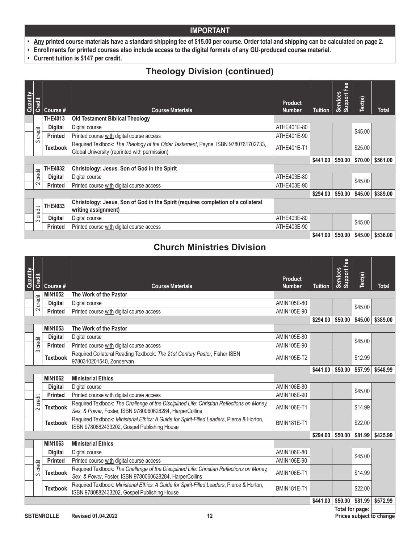- **• Any printed course materials have a standard shipping fee of \$15.00 per course. Order total and shipping can be calculated on page 2.**
- **• Enrollments for printed courses also include access to the digital formats of any GU-produced course material.**
- **• Current tuition is \$147 per credit.**

# **Theology Division (continued)**

| Quantity | Credit   | Course #        | <b>Course Materials</b>                                                                                                             | <b>Product</b><br><b>Number</b> | <b>Tuition</b> | Support Fee<br>Services | Text(s) | <b>Total</b> |
|----------|----------|-----------------|-------------------------------------------------------------------------------------------------------------------------------------|---------------------------------|----------------|-------------------------|---------|--------------|
|          |          | <b>THE4013</b>  | <b>Old Testament Biblical Theology</b>                                                                                              |                                 |                |                         |         |              |
|          |          | <b>Digital</b>  | Digital course                                                                                                                      | ATHE401E-80                     |                |                         | \$45.00 |              |
|          | credit   | <b>Printed</b>  | Printed course with digital course access                                                                                           | ATHE401E-90                     |                |                         |         |              |
|          | က        | <b>Textbook</b> | Required Textbook: The Theology of the Older Testament, Payne, ISBN 9780761702733,<br>Global University (reprinted with permission) | ATHE401E-T1                     |                |                         | \$25.00 |              |
|          |          |                 |                                                                                                                                     |                                 | \$441.00       | \$50.00                 | \$70.00 | \$561.00     |
|          |          | <b>THE4032</b>  | Christology: Jesus, Son of God in the Spirit                                                                                        |                                 |                |                         |         |              |
|          | credit   | <b>Digital</b>  | Digital course                                                                                                                      | ATHE403E-80                     |                |                         | \$45.00 |              |
|          | $\sim$   | <b>Printed</b>  | Printed course with digital course access                                                                                           | ATHE403E-90                     |                |                         |         |              |
|          |          |                 |                                                                                                                                     |                                 | \$294.00       | \$50.00                 | \$45.00 | \$389.00     |
|          | credit   | THE4033         | Christology: Jesus, Son of God in the Spirit (requires completion of a collateral<br>writing assignment)                            |                                 |                |                         |         |              |
|          | $\infty$ | <b>Digital</b>  | Digital course                                                                                                                      | ATHE403E-80                     |                |                         |         |              |
|          |          | <b>Printed</b>  | Printed course with digital course access                                                                                           | ATHE403E-90                     |                |                         | \$45.00 |              |
|          |          |                 |                                                                                                                                     |                                 | \$441.00       | \$50.00                 | \$45.00 | \$536.00     |

### **Church Ministries Division**

| Quantity | Credit             |                 |                                                                                                                                                      | Product            |                | Services<br>Support Fee | Text(s) |              |
|----------|--------------------|-----------------|------------------------------------------------------------------------------------------------------------------------------------------------------|--------------------|----------------|-------------------------|---------|--------------|
|          |                    | Course #        | <b>Course Materials</b>                                                                                                                              | <b>Number</b>      | <b>Tuition</b> |                         |         | <b>Total</b> |
|          | credit             | <b>MIN1052</b>  | The Work of the Pastor                                                                                                                               |                    |                |                         |         |              |
|          |                    | <b>Digital</b>  | Digital course                                                                                                                                       | AMIN105E-80        |                |                         | \$45.00 |              |
|          | $\sim$             | <b>Printed</b>  | Printed course with digital course access                                                                                                            | AMIN105E-90        |                |                         |         |              |
|          |                    |                 |                                                                                                                                                      |                    | \$294.00       | \$50.00                 | \$45.00 | \$389.00     |
|          |                    | <b>MIN1053</b>  | The Work of the Pastor                                                                                                                               |                    |                |                         |         | \$548.99     |
|          |                    | <b>Digital</b>  | Digital course                                                                                                                                       | AMIN105E-80        |                |                         | \$45.00 |              |
|          | credit             | <b>Printed</b>  | Printed course with digital course access                                                                                                            | AMIN105E-90        |                |                         |         |              |
|          | ო                  | <b>Textbook</b> | Required Collateral Reading Textbook: The 21st Century Pastor, Fisher ISBN<br>9780310201540, Zondervan                                               | AMIN105E-T2        |                |                         | \$12.99 |              |
|          |                    |                 |                                                                                                                                                      |                    | \$441.00       | \$50.00                 | \$57.99 |              |
|          |                    | <b>MIN1062</b>  | <b>Ministerial Ethics</b>                                                                                                                            |                    |                |                         |         |              |
|          |                    | <b>Digital</b>  | Digital course                                                                                                                                       | AMIN106E-80        |                |                         | \$45.00 |              |
|          |                    | <b>Printed</b>  | Printed course with digital course access                                                                                                            | AMIN106E-90        |                |                         |         |              |
|          | credit<br>$\sim$   | <b>Textbook</b> | Required Textbook: The Challenge of the Disciplined Life: Christian Reflections on Money,<br>Sex, & Power, Foster, ISBN 9780060628284, HarperCollins | AMIN106E-T1        |                |                         | \$14.99 |              |
|          |                    | <b>Textbook</b> | Required Textbook: Ministerial Ethics: A Guide for Spirit-Filled Leaders, Pierce & Horton,<br>ISBN 9780882433202, Gospel Publishing House            | <b>BMIN181E-T1</b> |                |                         | \$22.00 |              |
|          |                    |                 |                                                                                                                                                      |                    | \$294.00       | \$50.00                 | \$81.99 | \$425.99     |
|          |                    | <b>MIN1063</b>  | <b>Ministerial Ethics</b>                                                                                                                            |                    |                |                         |         |              |
|          |                    | <b>Digital</b>  | Digital course                                                                                                                                       | AMIN106E-80        |                |                         | \$45.00 |              |
|          |                    | <b>Printed</b>  | Printed course with digital course access                                                                                                            | AMIN106E-90        |                |                         |         |              |
|          | credit<br>$\infty$ | <b>Textbook</b> | Required Textbook: The Challenge of the Disciplined Life: Christian Reflections on Money,<br>Sex, & Power, Foster, ISBN 9780060628284, HarperCollins | AMIN106E-T1        |                |                         | \$14.99 |              |
|          |                    | <b>Textbook</b> | Required Textbook: Ministerial Ethics: A Guide for Spirit-Filled Leaders, Pierce & Horton,<br>ISBN 9780882433202, Gospel Publishing House            | <b>BMIN181E-T1</b> |                |                         | \$22.00 |              |
|          |                    |                 |                                                                                                                                                      |                    | \$441.00       | \$50.00                 | \$81.99 | \$572.99     |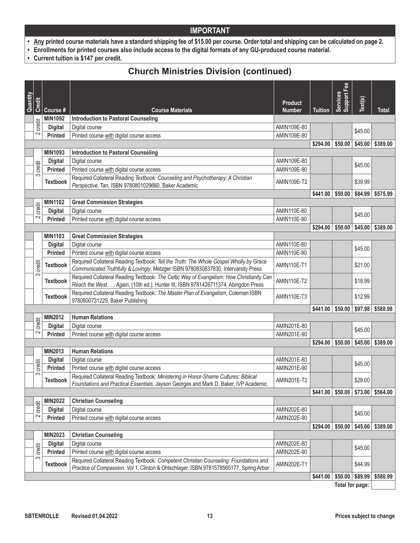- **• Any printed course materials have a standard shipping fee of \$15.00 per course. Order total and shipping can be calculated on page 2.**
- **• Enrollments for printed courses also include access to the digital formats of any GU-produced course material.**
- **• Current tuition is \$147 per credit.**

### **Church Ministries Division (continued)**

| Quantity |               |                                  |                                                                                          |                                 |                | <b>Support Fee</b> |         |              |
|----------|---------------|----------------------------------|------------------------------------------------------------------------------------------|---------------------------------|----------------|--------------------|---------|--------------|
|          | <b>Credit</b> | Course #                         | <b>Course Materials</b>                                                                  | <b>Product</b><br><b>Number</b> | <b>Tuition</b> | Services           | Text(s) | <b>Total</b> |
|          |               | <b>MIN1092</b>                   | <b>Introduction to Pastoral Counseling</b>                                               |                                 |                |                    |         |              |
|          | credit        | <b>Digital</b>                   | Digital course                                                                           | AMIN109E-80                     |                |                    | \$45.00 |              |
|          | $\sim$        | <b>Printed</b>                   | Printed course with digital course access                                                | AMIN109E-90                     |                |                    |         |              |
|          |               |                                  |                                                                                          |                                 | \$294.00       | \$50.00            | \$45.00 | \$389.00     |
|          |               | <b>MIN1093</b>                   | <b>Introduction to Pastoral Counseling</b>                                               |                                 |                |                    |         |              |
|          | credit        | <b>Digital</b>                   | Digital course                                                                           | AMIN109E-80                     |                |                    | \$45.00 |              |
|          | S             | Printed                          | Printed course with digital course access                                                | AMIN109E-90                     |                |                    |         |              |
|          |               | <b>Textbook</b>                  | Required Collateral Reading Textbook: Counseling and Psychotherapy: A Christian          | <b>AMIN109E-T2</b>              |                |                    | \$39.99 |              |
|          |               |                                  | Perspective, Tan, ISBN 9780801029660, Baker Academic                                     |                                 |                |                    |         |              |
|          |               |                                  |                                                                                          |                                 | \$441.00       | \$50.00            | \$84.99 | \$575.99     |
|          | credit        | <b>MIN1102</b><br><b>Digital</b> | <b>Great Commission Strategies</b>                                                       | AMIN110E-80                     |                |                    |         |              |
|          | 2             | <b>Printed</b>                   | Digital course<br>Printed course with digital course access                              | AMIN110E-90                     |                |                    | \$45.00 |              |
|          |               |                                  |                                                                                          |                                 | \$294.00       | \$50.00            | \$45.00 | \$389.00     |
|          |               | <b>MIN1103</b>                   | <b>Great Commission Strategies</b>                                                       |                                 |                |                    |         |              |
|          |               | <b>Digital</b>                   | Digital course                                                                           | AMIN110E-80                     |                |                    |         |              |
|          |               | <b>Printed</b>                   | Printed course with digital course access                                                | AMIN110E-90                     |                |                    | \$45.00 |              |
|          |               |                                  | Required Collateral Reading Textbook: Tell the Truth: The Whole Gospel Wholly by Grace   |                                 |                |                    |         |              |
|          | credit        | <b>Textbook</b>                  | Communicated Truthfully & Lovingly, Metzger ISBN 9780830837830, Intervarsity Press       | AMIN110E-T1                     |                |                    | \$21.00 |              |
|          | က             | <b>Textbook</b>                  | Required Collateral Reading Textbook: The Celtic Way of Evangelism: How Christianity Can | <b>AMIN110E-T2</b>              |                |                    | \$18.99 |              |
|          |               |                                  | Reach the West Again, (10th ed.), Hunter III, ISBN 9781426711374, Abingdon Press         |                                 |                |                    |         |              |
|          |               | <b>Textbook</b>                  | Required Collateral Reading Textbook: The Master Plan of Evangelism, Coleman ISBN        | AMIN110E-T3                     |                |                    | \$12.99 |              |
|          |               |                                  | 9780800731229, Baker Publishing                                                          |                                 |                |                    |         |              |
|          |               | <b>MIN2012</b>                   | <b>Human Relations</b>                                                                   |                                 | \$441.00       | \$50.00            | \$97.98 | \$588.98     |
|          | credit        | <b>Digital</b>                   | Digital course                                                                           | AMIN201E-80                     |                |                    |         |              |
|          | 2             | <b>Printed</b>                   | Printed course with digital course access                                                | AMIN201E-90                     |                |                    | \$45.00 |              |
|          |               |                                  |                                                                                          |                                 | \$294.00       | \$50.00            | \$45.00 | \$389.00     |
|          |               | <b>MIN2013</b>                   | <b>Human Relations</b>                                                                   |                                 |                |                    |         |              |
|          |               | <b>Digital</b>                   | Digital course                                                                           | AMIN201E-80                     |                |                    |         |              |
|          | credit        | <b>Printed</b>                   | Printed course with digital course access                                                | AMIN201E-90                     |                |                    | \$45.00 |              |
|          | က             |                                  | Required Collateral Reading Textbook: Ministering in Honor-Shame Cultures: Biblical      |                                 |                |                    |         |              |
|          |               | <b>Textbook</b>                  | Foundations and Practical Essentials, Jayson Georges and Mark D. Baker, IVP Academic     | AMIN201E-T2                     |                |                    | \$28.00 |              |
|          |               |                                  |                                                                                          |                                 | \$441.00       | \$50.00            | \$73.00 | \$564.00     |
|          |               | <b>MIN2022</b>                   | <b>Christian Counseling</b>                                                              |                                 |                |                    |         |              |
|          | credit        | <b>Digital</b>                   | Digital course                                                                           | AMIN202E-80                     |                |                    | \$45.00 |              |
|          | $\sim$        | <b>Printed</b>                   | Printed course with digital course access                                                | AMIN202E-90                     |                |                    |         |              |
|          |               |                                  |                                                                                          |                                 | \$294.00       | \$50.00            | \$45.00 | \$389.00     |
|          |               | <b>MIN2023</b>                   | <b>Christian Counseling</b>                                                              |                                 |                |                    |         |              |
|          |               | <b>Digital</b>                   | Digital course                                                                           | AMIN202E-80                     |                |                    | \$45.00 |              |
|          | credit        | Printed                          | Printed course with digital course access                                                | AMIN202E-90                     |                |                    |         |              |
|          | S             | <b>Textbook</b>                  | Required Collateral Reading Textbook: Competent Christian Counseling: Foundations and    | <b>AMIN202E-T1</b>              |                |                    | \$44.99 |              |
|          |               |                                  | Practice of Compassion, Vol 1, Clinton & Ohlschlager, ISBN 9781578565177, Spring Arbor   |                                 |                |                    |         |              |
|          |               |                                  |                                                                                          |                                 | \$441.00       | \$50.00            | \$89.99 | \$580.99     |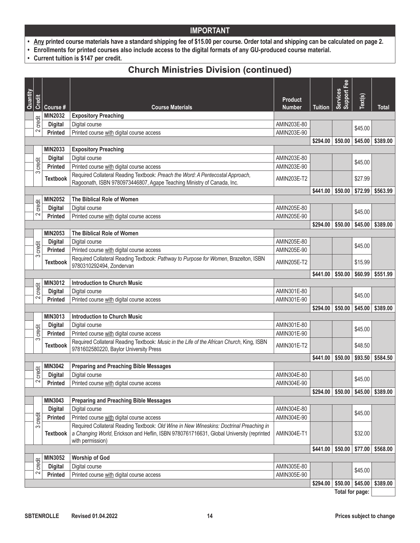- **• Any printed course materials have a standard shipping fee of \$15.00 per course. Order total and shipping can be calculated on page 2.**
- **• Enrollments for printed courses also include access to the digital formats of any GU-produced course material.**
- **• Current tuition is \$147 per credit.**

### **Church Ministries Division (continued)**

|          |                 |                 |                                                                                                                                                                                                        |                                 |                | Support Fee     |         |              |
|----------|-----------------|-----------------|--------------------------------------------------------------------------------------------------------------------------------------------------------------------------------------------------------|---------------------------------|----------------|-----------------|---------|--------------|
| Quantity | Credit          | Course #        | <b>Course Materials</b>                                                                                                                                                                                | <b>Product</b><br><b>Number</b> | <b>Tuition</b> | <b>Services</b> | Text(s) | <b>Total</b> |
|          |                 | <b>MIN2032</b>  | <b>Expository Preaching</b>                                                                                                                                                                            |                                 |                |                 |         |              |
|          | credit          | <b>Digital</b>  | Digital course                                                                                                                                                                                         | AMIN203E-80                     |                |                 |         |              |
|          | $\sim$          | <b>Printed</b>  | Printed course with digital course access                                                                                                                                                              | AMIN203E-90                     |                |                 | \$45.00 |              |
|          |                 |                 |                                                                                                                                                                                                        |                                 | \$294.00       | \$50.00         | \$45.00 | \$389.00     |
|          |                 | <b>MIN2033</b>  | <b>Expository Preaching</b>                                                                                                                                                                            |                                 |                |                 |         |              |
|          |                 | <b>Digital</b>  | Digital course                                                                                                                                                                                         | AMIN203E-80                     |                |                 |         |              |
|          | credit          | <b>Printed</b>  | Printed course with digital course access                                                                                                                                                              | AMIN203E-90                     |                |                 | \$45.00 |              |
|          | 3               | <b>Textbook</b> | Required Collateral Reading Textbook: Preach the Word: A Pentecostal Approach,                                                                                                                         | <b>AMIN203E-T2</b>              |                |                 | \$27.99 |              |
|          |                 |                 | Ragoonath, ISBN 9780973446807, Agape Teaching Ministry of Canada, Inc.                                                                                                                                 |                                 |                |                 |         |              |
|          |                 |                 |                                                                                                                                                                                                        |                                 | \$441.00       | \$50.00         | \$72.99 | \$563.99     |
|          |                 | <b>MIN2052</b>  | The Biblical Role of Women                                                                                                                                                                             |                                 |                |                 |         |              |
|          | credit          | <b>Digital</b>  | Digital course                                                                                                                                                                                         | AMIN205E-80                     |                |                 | \$45.00 |              |
|          | 2               | <b>Printed</b>  | Printed course with digital course access                                                                                                                                                              | AMIN205E-90                     |                |                 |         |              |
|          |                 |                 |                                                                                                                                                                                                        |                                 | \$294.00       | \$50.00         | \$45.00 | \$389.00     |
|          |                 | <b>MIN2053</b>  | The Biblical Role of Women                                                                                                                                                                             |                                 |                |                 |         |              |
|          | credit          | <b>Digital</b>  | Digital course                                                                                                                                                                                         | AMIN205E-80                     |                |                 | \$45.00 |              |
|          | က               | <b>Printed</b>  | Printed course with digital course access                                                                                                                                                              | AMIN205E-90                     |                |                 |         |              |
|          |                 | <b>Textbook</b> | Required Collateral Reading Textbook: Pathway to Purpose for Women, Brazelton, ISBN<br>9780310292494, Zondervan                                                                                        | <b>AMIN205E-T2</b>              |                |                 | \$15.99 |              |
|          |                 |                 |                                                                                                                                                                                                        |                                 | \$441.00       | \$50.00         | \$60.99 | \$551.99     |
|          |                 | MIN3012         | <b>Introduction to Church Music</b>                                                                                                                                                                    |                                 |                |                 |         |              |
|          | credit          | <b>Digital</b>  | Digital course                                                                                                                                                                                         | AMIN301E-80                     |                |                 | \$45.00 |              |
|          | 2               | <b>Printed</b>  | Printed course with digital course access                                                                                                                                                              | AMIN301E-90                     |                |                 |         |              |
|          |                 |                 |                                                                                                                                                                                                        |                                 | \$294.00       | \$50.00         | \$45.00 | \$389.00     |
|          |                 | <b>MIN3013</b>  | <b>Introduction to Church Music</b>                                                                                                                                                                    |                                 |                |                 |         |              |
|          |                 | <b>Digital</b>  | Digital course                                                                                                                                                                                         | AMIN301E-80                     |                |                 | \$45.00 |              |
|          | credit          | <b>Printed</b>  | Printed course with digital course access                                                                                                                                                              | AMIN301E-90                     |                |                 |         |              |
|          | 3               | <b>Textbook</b> | Required Collateral Reading Textbook: Music in the Life of the African Church, King, ISBN<br>9781602580220, Baylor University Press                                                                    | AMIN301E-T2                     |                |                 | \$48.50 |              |
|          |                 |                 |                                                                                                                                                                                                        |                                 | \$441.00       | \$50.00         | \$93.50 | \$584.50     |
|          |                 | <b>MIN3042</b>  | <b>Preparing and Preaching Bible Messages</b>                                                                                                                                                          |                                 |                |                 |         |              |
|          | credit          | <b>Digital</b>  | Digital course                                                                                                                                                                                         | AMIN304E-80                     |                |                 | \$45.00 |              |
|          | 2               | <b>Printed</b>  | Printed course with digital course access                                                                                                                                                              | AMIN304E-90                     |                |                 |         |              |
|          |                 |                 |                                                                                                                                                                                                        |                                 | \$294.00       | \$50.00         | \$45.00 | \$389.00     |
|          |                 | MIN3043         | <b>Preparing and Preaching Bible Messages</b>                                                                                                                                                          |                                 |                |                 |         |              |
|          |                 | <b>Digital</b>  | Digital course                                                                                                                                                                                         | AMIN304E-80                     |                |                 | \$45.00 |              |
|          | credit          | <b>Printed</b>  | Printed course with digital course access                                                                                                                                                              | AMIN304E-90                     |                |                 |         |              |
|          | S               | <b>Textbook</b> | Required Collateral Reading Textbook: Old Wine in New Wineskins: Doctrinal Preaching in<br>a Changing World, Erickson and Heflin, ISBN 9780761716631, Global University (reprinted<br>with permission) | AMIN304E-T1                     |                |                 | \$32.00 |              |
|          |                 |                 |                                                                                                                                                                                                        |                                 | \$441.00       | \$50.00         | \$77.00 | \$568.00     |
|          |                 | <b>MIN3052</b>  | <b>Worship of God</b>                                                                                                                                                                                  |                                 |                |                 |         |              |
|          | credit          | <b>Digital</b>  | Digital course                                                                                                                                                                                         | AMIN305E-80                     |                |                 | \$45.00 |              |
|          | 2               | Printed         | Printed course with digital course access                                                                                                                                                              | AMIN305E-90                     |                |                 |         |              |
|          |                 |                 |                                                                                                                                                                                                        |                                 | \$294.00       | \$50.00         | \$45.00 | \$389.00     |
|          | Total for page: |                 |                                                                                                                                                                                                        |                                 |                |                 |         |              |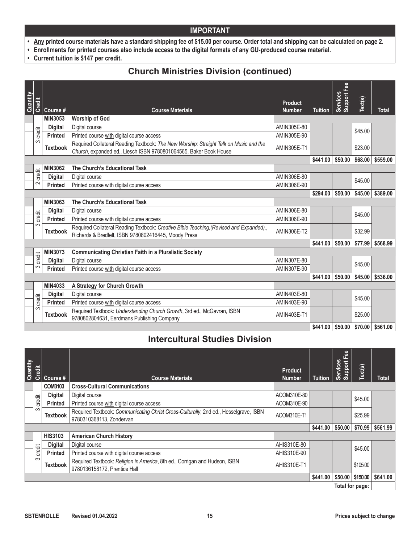- **• Any printed course materials have a standard shipping fee of \$15.00 per course. Order total and shipping can be calculated on page 2.**
- **• Enrollments for printed courses also include access to the digital formats of any GU-produced course material.**
- **• Current tuition is \$147 per credit.**

### **Church Ministries Division (continued)**

| Quantity | Credit | Course #        | <b>Course Materials</b>                                                                                                                                    | <b>Product</b><br><b>Number</b> | <b>Tuition</b> | Support Fee<br>Services | Text(s) | <b>Total</b> |
|----------|--------|-----------------|------------------------------------------------------------------------------------------------------------------------------------------------------------|---------------------------------|----------------|-------------------------|---------|--------------|
|          |        | MIN3053         | <b>Worship of God</b>                                                                                                                                      |                                 |                |                         |         |              |
|          |        | <b>Digital</b>  | Digital course                                                                                                                                             | AMIN305E-80                     |                |                         | \$45.00 |              |
|          | credit | <b>Printed</b>  | Printed course with digital course access                                                                                                                  | AMIN305E-90                     |                |                         |         |              |
|          | က      | <b>Textbook</b> | Required Collateral Reading Textbook: The New Worship: Straight Talk on Music and the<br>Church, expanded ed., Liesch ISBN 9780801064565, Baker Book House | AMIN305E-T1                     |                |                         | \$23.00 |              |
|          |        |                 |                                                                                                                                                            |                                 | \$441.00       | \$50.00                 | \$68,00 | \$559.00     |
|          |        | <b>MIN3062</b>  | The Church's Educational Task                                                                                                                              |                                 |                |                         |         |              |
|          | credit | <b>Digital</b>  | Digital course                                                                                                                                             | AMIN306E-80                     |                |                         | \$45.00 |              |
|          | $\sim$ | <b>Printed</b>  | Printed course with digital course access                                                                                                                  | AMIN306E-90                     |                |                         |         |              |
|          |        |                 |                                                                                                                                                            |                                 | \$294.00       | \$50.00                 | \$45.00 | \$389.00     |
|          |        | <b>MIN3063</b>  | The Church's Educational Task                                                                                                                              |                                 |                |                         |         |              |
|          | credit | <b>Digital</b>  | Digital course                                                                                                                                             | AMIN306E-80                     |                |                         | \$45.00 |              |
|          |        | <b>Printed</b>  | Printed course with digital course access                                                                                                                  | AMIN306E-90                     |                |                         |         |              |
|          | က      | <b>Textbook</b> | Required Collateral Reading Textbook: Creative Bible Teaching, (Revised and Expanded).,<br>Richards & Bredfelt, ISBN 9780802416445, Moody Press            | <b>AMIN306E-T2</b>              |                |                         | \$32.99 |              |
|          |        |                 |                                                                                                                                                            |                                 | \$441.00       | \$50.00                 | \$77.99 | \$568.99     |
|          |        | <b>MIN3073</b>  | <b>Communicating Christian Faith in a Pluralistic Society</b>                                                                                              |                                 |                |                         |         |              |
|          | credit | <b>Digital</b>  | Digital course                                                                                                                                             | AMIN307E-80                     |                |                         | \$45.00 |              |
|          | က      | <b>Printed</b>  | Printed course with digital course access                                                                                                                  | AMIN307E-90                     |                |                         |         |              |
|          |        |                 |                                                                                                                                                            |                                 | \$441.00       | \$50.00                 | \$45.00 | \$536.00     |
|          |        | MIN4033         | A Strategy for Church Growth                                                                                                                               |                                 |                |                         |         |              |
|          |        | <b>Digital</b>  | Digital course                                                                                                                                             | AMIN403E-80                     |                |                         | \$45.00 |              |
|          | credit | <b>Printed</b>  | Printed course with digital course access                                                                                                                  | AMIN403E-90                     |                |                         |         |              |
|          | က      | <b>Textbook</b> | Required Textbook: Understanding Church Growth, 3rd ed., McGavran, ISBN<br>9780802804631, Eerdmans Publishing Company                                      | AMIN403E-T1                     |                |                         | \$25.00 |              |
|          |        |                 |                                                                                                                                                            |                                 | \$441.00       | \$50.00                 | \$70.00 | \$561.00     |

### **Intercultural Studies Division**

| Quantity | Credit | Course #        | <b>Course Materials</b>                                                                                          | <b>Product</b><br><b>Number</b> | <b>Tuition</b> | Support Fee<br>Services | Text(s)  | <b>Total</b> |
|----------|--------|-----------------|------------------------------------------------------------------------------------------------------------------|---------------------------------|----------------|-------------------------|----------|--------------|
|          |        | <b>COM3103</b>  | <b>Cross-Cultural Communications</b>                                                                             |                                 |                |                         |          |              |
|          |        | <b>Digital</b>  | Digital course                                                                                                   | ACOM310E-80                     |                |                         | \$45.00  |              |
|          | credit | <b>Printed</b>  | Printed course with digital course access                                                                        | ACOM310E-90                     |                |                         |          |              |
|          | က      | <b>Textbook</b> | Required Textbook: Communicating Christ Cross-Culturally, 2nd ed., Hesselgrave, ISBN<br>9780310368113. Zondervan | ACOM310E-T1                     |                |                         | \$25.99  |              |
|          |        |                 |                                                                                                                  |                                 | \$441.00       | \$50.00                 | \$70.99  | \$561.99     |
|          |        | <b>HIS3103</b>  | <b>American Church History</b>                                                                                   |                                 |                |                         |          |              |
|          |        | <b>Digital</b>  | Digital course                                                                                                   | AHIS310E-80                     |                |                         | \$45.00  |              |
|          | credit | <b>Printed</b>  | Printed course with digital course access                                                                        | AHIS310E-90                     |                |                         |          |              |
|          | က      | <b>Textbook</b> | Required Textbook: Religion in America, 8th ed., Corrigan and Hudson, ISBN<br>9780136158172, Prentice Hall       | AHIS310E-T1                     |                |                         | \$105.00 |              |
|          |        |                 |                                                                                                                  |                                 | \$441.00       | \$50.00                 | \$150.00 | \$641.00     |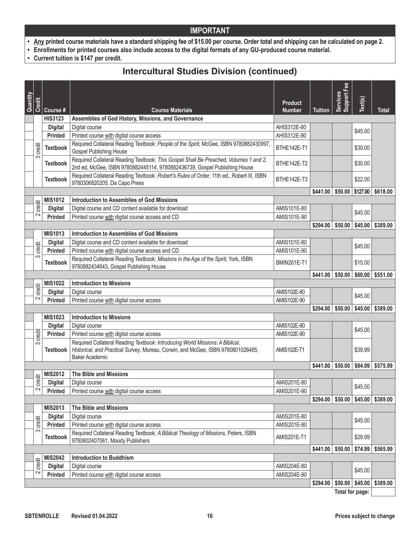- **• Any printed course materials have a standard shipping fee of \$15.00 per course. Order total and shipping can be calculated on page 2.**
- **• Enrollments for printed courses also include access to the digital formats of any GU-produced course material.**
- **• Current tuition is \$147 per credit.**

### **Intercultural Studies Division (continued)**

|          |        |                 |                                                                                                                                                                                            |                                 |                              | Support Fee     |          |                    |
|----------|--------|-----------------|--------------------------------------------------------------------------------------------------------------------------------------------------------------------------------------------|---------------------------------|------------------------------|-----------------|----------|--------------------|
| Quantity | Credit | Course #        | <b>Course Materials</b>                                                                                                                                                                    | <b>Product</b><br><b>Number</b> | <b>Tuition</b>               | Services        | Text(s)  | <b>Total</b>       |
|          |        | <b>HIS3123</b>  | Assemblies of God History, Missions, and Governance                                                                                                                                        |                                 |                              |                 |          |                    |
|          |        | <b>Digital</b>  | Digital course                                                                                                                                                                             | AHIS312E-80                     |                              |                 |          |                    |
|          |        | <b>Printed</b>  | Printed course with digital course access                                                                                                                                                  | AHIS312E-90                     |                              |                 | \$45.00  |                    |
|          | credit | <b>Textbook</b> | Required Collateral Reading Textbook: People of the Spirit, McGee, ISBN 9780882430997,<br>Gospel Publishing House                                                                          | BTHE142E-T1                     |                              |                 | \$30.00  |                    |
|          | က      | <b>Textbook</b> | Required Collateral Reading Textbook: This Gospel Shall Be Preached, Volumes 1 and 2,<br>2nd ed, McGee, ISBN 9780882445114, 9780882436739, Gospel Publishing House                         | BTHE142E-T2                     |                              |                 | \$30.00  |                    |
|          |        | <b>Textbook</b> | Required Collateral Reading Textbook: Robert's Rules of Order, 11th ed., Robert III, ISBN<br>9780306820205, Da Capo Press                                                                  | BTHE142E-T3                     |                              |                 | \$22.00  |                    |
|          |        |                 |                                                                                                                                                                                            |                                 | \$441.00                     | \$50.00         | \$127.00 | \$618.00           |
|          |        | <b>MIS1012</b>  | <b>Introduction to Assemblies of God Missions</b>                                                                                                                                          |                                 |                              |                 |          |                    |
|          | credit | <b>Digital</b>  | Digital course and CD content available for download                                                                                                                                       | AMIS101E-80                     |                              |                 | \$45.00  |                    |
|          | 2      | <b>Printed</b>  | Printed course with digital course access and CD                                                                                                                                           | AMIS101E-90                     |                              |                 |          |                    |
|          |        |                 |                                                                                                                                                                                            |                                 | \$294.00                     | \$50.00         | \$45.00  | \$389.00           |
|          |        | <b>MIS1013</b>  | <b>Introduction to Assemblies of God Missions</b>                                                                                                                                          |                                 |                              |                 |          |                    |
|          | credit | <b>Digital</b>  | Digital course and CD content available for download                                                                                                                                       | AMIS101E-80                     |                              |                 | \$45.00  |                    |
|          | က      | <b>Printed</b>  | Printed course with digital course access and CD                                                                                                                                           | AMIS101E-90                     |                              |                 |          |                    |
|          |        | <b>Textbook</b> | Required Collateral Reading Textbook: Missions in the Age of the Spirit, York, ISBN<br>9780882434643, Gospel Publishing House                                                              | <b>BMIN261E-T1</b>              |                              |                 | \$15.00  |                    |
|          |        |                 |                                                                                                                                                                                            |                                 | \$441.00                     | \$50.00         | \$60.00  | \$551.00           |
|          | credit | <b>MIS1022</b>  | <b>Introduction to Missions</b>                                                                                                                                                            |                                 |                              |                 |          |                    |
|          |        | <b>Digital</b>  | Digital course                                                                                                                                                                             | AMIS102E-80                     |                              |                 | \$45.00  |                    |
|          | $\sim$ | <b>Printed</b>  | Printed course with digital course access                                                                                                                                                  | AMIS102E-90                     |                              |                 |          |                    |
|          |        |                 |                                                                                                                                                                                            |                                 | \$294.00                     | \$50.00         | \$45.00  | \$389.00           |
|          |        | <b>MIS1023</b>  | <b>Introduction to Missions</b>                                                                                                                                                            |                                 |                              |                 |          |                    |
|          |        | <b>Digital</b>  | Digital course                                                                                                                                                                             | AMIS102E-80                     |                              |                 | \$45.00  |                    |
|          | credit | Printed         | Printed course with digital course access                                                                                                                                                  | AMIS102E-90                     |                              |                 |          |                    |
|          | ω      | <b>Textbook</b> | Required Collateral Reading Textbook: Introducing World Missions: A Biblical,<br>Historical, and Practical Survey, Moreau, Corwin, and McGee, ISBN 9780801026485,<br><b>Baker Academic</b> | <b>AMIS102E-T1</b>              |                              |                 | \$39.99  |                    |
|          |        |                 |                                                                                                                                                                                            |                                 | \$441.00                     | \$50.00         | \$84.99  | \$575.99           |
|          |        | <b>MIS2012</b>  | The Bible and Missions                                                                                                                                                                     |                                 |                              |                 |          |                    |
|          | credit | <b>Digital</b>  | Digital course                                                                                                                                                                             | AMIS201E-80                     |                              |                 | \$45.00  |                    |
|          | $\sim$ | Printed         | Printed course with digital course access                                                                                                                                                  | AMIS201E-90                     |                              |                 |          |                    |
|          |        |                 |                                                                                                                                                                                            |                                 | $$294.00 \; \; $50.00 \; \;$ |                 |          | $$45.00$ $$389.00$ |
|          |        | <b>MIS2013</b>  | The Bible and Missions                                                                                                                                                                     |                                 |                              |                 |          |                    |
|          | credit | <b>Digital</b>  | Digital course                                                                                                                                                                             | AMIS201E-80                     |                              |                 | \$45.00  |                    |
|          |        | Printed         | Printed course with digital course access                                                                                                                                                  | AMIS201E-90                     |                              |                 |          |                    |
|          | ω      | <b>Textbook</b> | Required Collateral Reading Textbook: A Biblical Theology of Missions, Peters, ISBN<br>9780802407061, Moody Publishers                                                                     | AMIS201E-T1                     |                              |                 | \$29.99  |                    |
|          |        |                 |                                                                                                                                                                                            |                                 | \$441.00                     | \$50.00         | \$74.99  | \$565.99           |
|          | credit | <b>MIS2042</b>  | <b>Introduction to Buddhism</b>                                                                                                                                                            |                                 |                              |                 |          |                    |
|          |        | <b>Digital</b>  | Digital course                                                                                                                                                                             | AMIS204E-80                     |                              |                 | \$45.00  |                    |
|          | $\sim$ | <b>Printed</b>  | Printed course with digital course access                                                                                                                                                  | AMIS204E-90                     |                              |                 |          |                    |
|          |        |                 |                                                                                                                                                                                            |                                 | \$294.00                     | \$50.00         | \$45.00  | \$389.00           |
|          |        |                 |                                                                                                                                                                                            |                                 |                              | Total for page: |          |                    |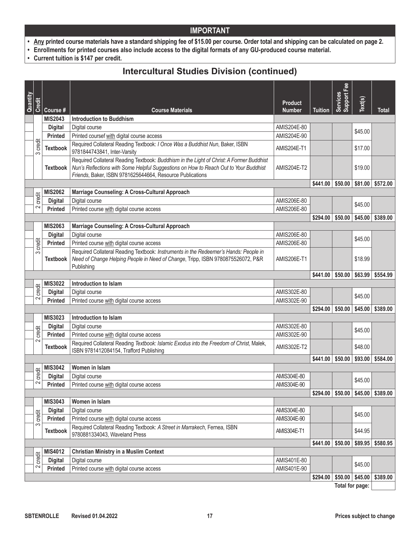- **• Any printed course materials have a standard shipping fee of \$15.00 per course. Order total and shipping can be calculated on page 2.**
- **• Enrollments for printed courses also include access to the digital formats of any GU-produced course material.**
- **• Current tuition is \$147 per credit.**

### **Intercultural Studies Division (continued)**

| Quantity |             |                 |                                                                                                                                                                                                                                               |                                 |                              | Support Fee<br><b>Services</b> |         |                    |
|----------|-------------|-----------------|-----------------------------------------------------------------------------------------------------------------------------------------------------------------------------------------------------------------------------------------------|---------------------------------|------------------------------|--------------------------------|---------|--------------------|
|          | Credit      | Course #        | <b>Course Materials</b>                                                                                                                                                                                                                       | <b>Product</b><br><b>Number</b> | <b>Tuition</b>               |                                | Text(s) | Total              |
|          |             | <b>MIS2043</b>  | <b>Introduction to Buddhism</b>                                                                                                                                                                                                               |                                 |                              |                                |         |                    |
|          |             | <b>Digital</b>  | Digital course                                                                                                                                                                                                                                | AMIS204E-80                     |                              |                                | \$45.00 |                    |
|          |             | <b>Printed</b>  | Printed coursef with digital course access                                                                                                                                                                                                    | AMIS204E-90                     |                              |                                |         |                    |
|          | credit<br>က | <b>Textbook</b> | Required Collateral Reading Textbook: I Once Was a Buddhist Nun, Baker, ISBN<br>9781844743841, Inter-Varsity                                                                                                                                  | <b>AMIS204E-T1</b>              |                              |                                | \$17.00 |                    |
|          |             | Textbook        | Required Collateral Reading Textbook: Buddhism in the Light of Christ: A Former Buddhist<br>Nun's Reflections with Some Helpful Suggestions on How to Reach Out to Your Buddhist<br>Friends, Baker, ISBN 9781625644664, Resource Publications | <b>AMIS204E-T2</b>              |                              |                                | \$19.00 |                    |
|          |             |                 |                                                                                                                                                                                                                                               |                                 | \$441.00                     | \$50.00                        | \$81.00 | \$572.00           |
|          |             | <b>MIS2062</b>  | Marriage Counseling: A Cross-Cultural Approach                                                                                                                                                                                                |                                 |                              |                                |         |                    |
|          | credit      | <b>Digital</b>  | Digital course                                                                                                                                                                                                                                | AMIS206E-80                     |                              |                                | \$45.00 |                    |
|          | $\sim$      | <b>Printed</b>  | Printed course with digital course access                                                                                                                                                                                                     | AMIS206E-80                     |                              |                                |         |                    |
|          |             |                 |                                                                                                                                                                                                                                               |                                 | \$294.00                     | \$50.00                        | \$45.00 | \$389.00           |
|          |             | <b>MIS2063</b>  | Marriage Counseling: A Cross-Cultural Approach                                                                                                                                                                                                |                                 |                              |                                |         |                    |
|          |             | <b>Digital</b>  | Digital course                                                                                                                                                                                                                                | AMIS206E-80                     |                              |                                | \$45.00 |                    |
|          | credit      | <b>Printed</b>  | Printed course with digital course access                                                                                                                                                                                                     | AMIS206E-80                     |                              |                                |         |                    |
| S        |             | <b>Textbook</b> | Required Collateral Reading Textbook: Instruments in the Redeemer's Hands: People in<br>Need of Change Helping People in Need of Change, Tripp, ISBN 9780875526072, P&R<br>Publishing                                                         | <b>AMIS206E-T1</b>              |                              |                                | \$18.99 |                    |
|          |             |                 |                                                                                                                                                                                                                                               |                                 | \$441.00                     | \$50.00                        | \$63.99 | \$554.99           |
|          |             | <b>MIS3022</b>  | Introduction to Islam                                                                                                                                                                                                                         |                                 |                              |                                |         |                    |
|          | credit      | <b>Digital</b>  | Digital course                                                                                                                                                                                                                                | AMIS302E-80                     |                              |                                |         |                    |
|          | $\sim$      | <b>Printed</b>  | Printed course with digital course access                                                                                                                                                                                                     | AMIS302E-90                     |                              |                                | \$45.00 |                    |
|          |             |                 |                                                                                                                                                                                                                                               |                                 | \$294.00                     | \$50.00                        | \$45.00 | \$389.00           |
|          |             | <b>MIS3023</b>  | Introduction to Islam                                                                                                                                                                                                                         |                                 |                              |                                |         |                    |
|          |             | <b>Digital</b>  | Digital course                                                                                                                                                                                                                                | AMIS302E-80                     |                              |                                |         |                    |
|          | credit      | <b>Printed</b>  | Printed course with digital course access                                                                                                                                                                                                     | AMIS302E-90                     |                              |                                | \$45.00 |                    |
|          | $\sim$      | <b>Textbook</b> | Required Collateral Reading Textbook: Islamic Exodus into the Freedom of Christ, Malek,<br>ISBN 9781412084154, Trafford Publishing                                                                                                            | <b>AMIS302E-T2</b>              |                              |                                | \$48.00 |                    |
|          |             |                 |                                                                                                                                                                                                                                               |                                 | \$441.00                     | \$50.00                        | \$93.00 | \$584.00           |
|          |             | <b>MIS3042</b>  | Women in Islam                                                                                                                                                                                                                                |                                 |                              |                                |         |                    |
|          | credit      | <b>Digital</b>  | Digital course                                                                                                                                                                                                                                | AMIS304E-80                     |                              |                                | \$45.00 |                    |
|          | $\sim$      | <b>Printed</b>  | Printed course with digital course access                                                                                                                                                                                                     | AMIS304E-90                     |                              |                                |         |                    |
|          |             |                 |                                                                                                                                                                                                                                               |                                 | \$294.00                     | \$50.00                        |         | $$45.00$ $$389.00$ |
|          |             | <b>MIS3043</b>  | Women in Islam                                                                                                                                                                                                                                |                                 |                              |                                |         |                    |
|          |             | <b>Digital</b>  | Digital course                                                                                                                                                                                                                                | AMIS304E-80                     |                              |                                | \$45.00 |                    |
|          | credit      | Printed         | Printed course with digital course access                                                                                                                                                                                                     | AMIS304E-90                     |                              |                                |         |                    |
| S        |             | <b>Textbook</b> | Required Collateral Reading Textbook: A Street in Marrakech, Fernea, ISBN<br>9780881334043, Waveland Press                                                                                                                                    | <b>AMIS304E-T1</b>              |                              |                                | \$44.95 |                    |
|          |             |                 |                                                                                                                                                                                                                                               |                                 | \$441.00                     | \$50.00                        | \$89.95 | \$580.95           |
|          |             | <b>MIS4012</b>  | <b>Christian Ministry in a Muslim Context</b>                                                                                                                                                                                                 |                                 |                              |                                |         |                    |
|          | credit      | <b>Digital</b>  | Digital course                                                                                                                                                                                                                                | AMIS401E-80                     |                              |                                | \$45.00 |                    |
|          | 2           | <b>Printed</b>  | Printed course with digital course access                                                                                                                                                                                                     | AMIS401E-90                     |                              |                                |         |                    |
|          |             |                 |                                                                                                                                                                                                                                               |                                 | $$294.00 \; \; $50.00 \; \;$ |                                | \$45.00 | \$389.00           |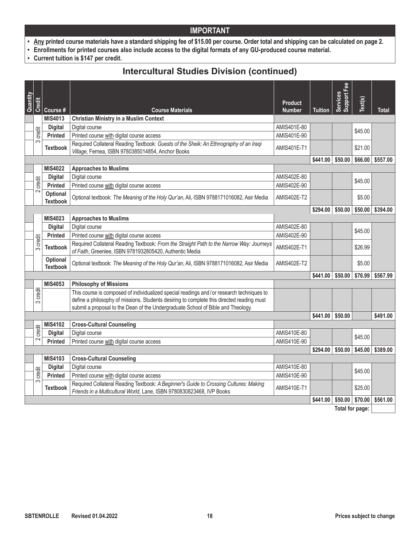- **• Any printed course materials have a standard shipping fee of \$15.00 per course. Order total and shipping can be calculated on page 2.**
- **• Enrollments for printed courses also include access to the digital formats of any GU-produced course material.**
- **• Current tuition is \$147 per credit.**

### **Intercultural Studies Division (continued)**

| Quantity | <b>Credit</b> |                                    |                                                                                                                                                                                                                                                                           | <b>Product</b>     |                | Fee<br>Services<br>Support <b>F</b> | Text(s) |          |
|----------|---------------|------------------------------------|---------------------------------------------------------------------------------------------------------------------------------------------------------------------------------------------------------------------------------------------------------------------------|--------------------|----------------|-------------------------------------|---------|----------|
|          |               | Course #                           | <b>Course Materials</b>                                                                                                                                                                                                                                                   | <b>Number</b>      | <b>Tuition</b> |                                     |         | Total    |
|          |               | <b>MIS4013</b>                     | <b>Christian Ministry in a Muslim Context</b>                                                                                                                                                                                                                             |                    |                |                                     |         |          |
|          | credit        | <b>Digital</b>                     | Digital course                                                                                                                                                                                                                                                            | AMIS401E-80        |                |                                     | \$45.00 |          |
|          | က             | <b>Printed</b>                     | Printed course with digital course access                                                                                                                                                                                                                                 | AMIS401E-90        |                |                                     |         |          |
|          |               | <b>Textbook</b>                    | Required Collateral Reading Textbook: Guests of the Sheik: An Ethnography of an Iraqi<br>Village, Fernea, ISBN 9780385014854, Anchor Books                                                                                                                                | <b>AMIS401E-T1</b> |                |                                     | \$21.00 |          |
|          |               |                                    |                                                                                                                                                                                                                                                                           |                    | \$441.00       | \$50.00                             | \$66.00 | \$557.00 |
|          |               | <b>MIS4022</b>                     | <b>Approaches to Muslims</b>                                                                                                                                                                                                                                              |                    |                |                                     |         |          |
|          |               | <b>Digital</b>                     | Digital course                                                                                                                                                                                                                                                            | AMIS402E-80        |                |                                     | \$45.00 |          |
|          | credit        | <b>Printed</b>                     | Printed course with digital course access                                                                                                                                                                                                                                 | AMIS402E-90        |                |                                     |         |          |
|          | $\sim$        | Optional<br><b>Textbook</b>        | Optional textbook: The Meaning of the Holy Qur'an, Ali, ISBN 9788171016082, Asir Media                                                                                                                                                                                    | AMIS402E-T2        |                |                                     | \$5.00  |          |
|          |               |                                    |                                                                                                                                                                                                                                                                           |                    | \$294.00       | \$50.00                             | \$50.00 | \$394.00 |
|          |               | MIS4023                            | <b>Approaches to Muslims</b>                                                                                                                                                                                                                                              |                    |                |                                     |         |          |
|          |               | <b>Digital</b>                     | Digital course                                                                                                                                                                                                                                                            | AMIS402E-80        |                |                                     | \$45.00 |          |
|          |               | Printed                            | Printed course with digital course access                                                                                                                                                                                                                                 | AMIS402E-90        |                |                                     |         |          |
|          | credit<br>က   | <b>Textbook</b>                    | Required Collateral Reading Textbook: From the Straight Path to the Narrow Way: Journeys<br>of Faith, Greenlee, ISBN 9781932805420, Authentic Media                                                                                                                       | AMIS402E-T1        |                |                                     | \$26.99 |          |
|          |               | <b>Optional</b><br><b>Textbook</b> | Optional textbook: The Meaning of the Holy Qur'an, Ali, ISBN 9788171016082, Asir Media                                                                                                                                                                                    | <b>AMIS402E-T2</b> |                |                                     | \$5.00  |          |
|          |               |                                    |                                                                                                                                                                                                                                                                           |                    | \$441.00       | \$50.00                             | \$76.99 | \$567.99 |
|          |               | <b>MIS4053</b>                     | <b>Philosophy of Missions</b>                                                                                                                                                                                                                                             |                    |                |                                     |         |          |
|          | credit<br>က   |                                    | This course is composed of individualized special readings and/or research techniques to<br>define a philosophy of missions. Students desiring to complete this directed reading must<br>submit a proposal to the Dean of the Undergraduate School of Bible and Theology. |                    |                |                                     |         |          |
|          |               |                                    |                                                                                                                                                                                                                                                                           |                    | \$441.00       | \$50.00                             |         | \$491.00 |
|          |               | <b>MIS4102</b>                     | <b>Cross-Cultural Counseling</b>                                                                                                                                                                                                                                          |                    |                |                                     |         |          |
|          | credit        | <b>Digital</b>                     | Digital course                                                                                                                                                                                                                                                            | AMIS410E-80        |                |                                     | \$45.00 |          |
|          | $\sim$        | <b>Printed</b>                     | Printed course with digital course access                                                                                                                                                                                                                                 | AMIS410E-90        |                |                                     |         |          |
|          |               |                                    |                                                                                                                                                                                                                                                                           |                    | \$294.00       | \$50.00                             | \$45.00 | \$389.00 |
|          |               | <b>MIS4103</b>                     | <b>Cross-Cultural Counseling</b>                                                                                                                                                                                                                                          |                    |                |                                     |         |          |
|          |               | <b>Digital</b>                     | Digital course                                                                                                                                                                                                                                                            | AMIS410E-80        |                |                                     | \$45.00 |          |
|          | credit        | <b>Printed</b>                     | Printed course with digital course access                                                                                                                                                                                                                                 | AMIS410E-90        |                |                                     |         |          |
|          | $\infty$      | <b>Textbook</b>                    | Required Collateral Reading Textbook: A Beginner's Guide to Crossing Cultures: Making<br>Friends in a Multicultural World, Lane, ISBN 9780830823468, IVP Books                                                                                                            | AMIS410E-T1        |                |                                     | \$25.00 |          |
|          |               |                                    |                                                                                                                                                                                                                                                                           |                    | \$441.00       | \$50.00                             | \$70.00 | \$561.00 |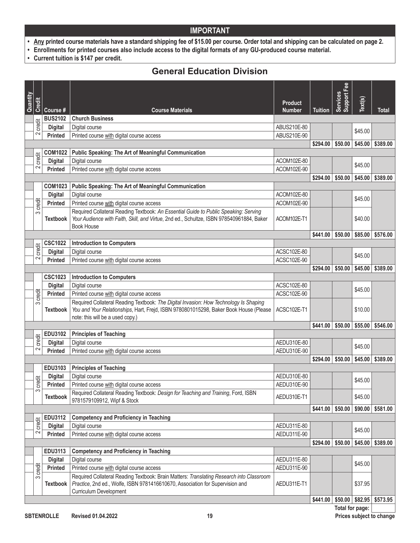- **• Any printed course materials have a standard shipping fee of \$15.00 per course. Order total and shipping can be calculated on page 2.**
- **• Enrollments for printed courses also include access to the digital formats of any GU-produced course material.**
- **• Current tuition is \$147 per credit.**

### **General Education Division**

| Quantity |        |                                  |                                                                                                                                                                                                                    |                                 |                | Support Fee<br>Services |         |          |
|----------|--------|----------------------------------|--------------------------------------------------------------------------------------------------------------------------------------------------------------------------------------------------------------------|---------------------------------|----------------|-------------------------|---------|----------|
|          | Credit | Course #                         | <b>Course Materials</b>                                                                                                                                                                                            | <b>Product</b><br><b>Number</b> | <b>Tuition</b> |                         | Text(s) | Total    |
|          |        | <b>BUS2102</b>                   | <b>Church Business</b>                                                                                                                                                                                             |                                 |                |                         |         |          |
|          | credit | <b>Digital</b>                   | Digital course                                                                                                                                                                                                     | ABUS210E-80                     |                |                         |         |          |
|          | $\sim$ | <b>Printed</b>                   | Printed course with digital course access                                                                                                                                                                          | ABUS210E-90                     |                |                         | \$45.00 |          |
|          |        |                                  |                                                                                                                                                                                                                    |                                 | \$294.00       | \$50.00                 | \$45.00 | \$389.00 |
|          |        | <b>COM1022</b>                   | <b>Public Speaking: The Art of Meaningful Communication</b>                                                                                                                                                        |                                 |                |                         |         |          |
|          | credit | <b>Digital</b>                   | Digital course                                                                                                                                                                                                     | ACOM102E-80                     |                |                         | \$45.00 |          |
|          | 2      | <b>Printed</b>                   | Printed course with digital course access                                                                                                                                                                          | ACOM102E-90                     |                |                         |         |          |
|          |        |                                  |                                                                                                                                                                                                                    |                                 | \$294.00       | \$50.00                 | \$45.00 | \$389.00 |
|          |        | <b>COM1023</b>                   | <b>Public Speaking: The Art of Meaningful Communication</b>                                                                                                                                                        |                                 |                |                         |         |          |
|          |        | <b>Digital</b>                   | Digital course                                                                                                                                                                                                     | ACOM102E-80                     |                |                         | \$45.00 |          |
|          | credit | <b>Printed</b>                   | Printed course with digital course access                                                                                                                                                                          | ACOM102E-90                     |                |                         |         |          |
|          | 3      | <b>Textbook</b>                  | Required Collateral Reading Textbook: An Essential Guide to Public Speaking: Serving<br>Your Audience with Faith, Skill, and Virtue, 2nd ed., Schultze, ISBN 978540961884, Baker<br><b>Book House</b>              | ACOM102E-T1                     |                |                         | \$40.00 |          |
|          |        |                                  |                                                                                                                                                                                                                    |                                 | \$441.00       | \$50.00                 | \$85.00 | \$576.00 |
|          |        | <b>CSC1022</b>                   | <b>Introduction to Computers</b>                                                                                                                                                                                   |                                 |                |                         |         |          |
|          | credit | <b>Digital</b>                   | Digital course                                                                                                                                                                                                     | ACSC102E-80                     |                |                         | \$45.00 |          |
|          | 2      | <b>Printed</b>                   | Printed course with digital course access                                                                                                                                                                          | ACSC102E-90                     |                |                         |         |          |
|          |        |                                  |                                                                                                                                                                                                                    |                                 | \$294.00       | \$50.00                 | \$45.00 | \$389.00 |
|          |        | <b>CSC1023</b>                   | <b>Introduction to Computers</b>                                                                                                                                                                                   |                                 |                |                         |         |          |
|          |        | <b>Digital</b>                   | Digital course                                                                                                                                                                                                     | ACSC102E-80                     |                |                         | \$45.00 |          |
|          | credit | <b>Printed</b>                   | Printed course with digital course access                                                                                                                                                                          | ACSC102E-90                     |                |                         |         |          |
|          | S      | <b>Textbook</b>                  | Required Collateral Reading Textbook: The Digital Invasion: How Technology Is Shaping<br>You and Your Relationships, Hart, Frejd, ISBN 9780801015298, Baker Book House (Please<br>note: this will be a used copy.) | ACSC102E-T1                     |                |                         | \$10.00 |          |
|          |        |                                  |                                                                                                                                                                                                                    |                                 | \$441.00       | \$50.00                 | \$55.00 | \$546.00 |
|          |        | <b>EDU3102</b>                   | <b>Principles of Teaching</b>                                                                                                                                                                                      |                                 |                |                         |         |          |
|          | credit | <b>Digital</b>                   | Digital course                                                                                                                                                                                                     | AEDU310E-80                     |                |                         | \$45.00 |          |
|          | 2      | <b>Printed</b>                   | Printed course with digital course access                                                                                                                                                                          | AEDU310E-90                     |                |                         |         |          |
|          |        |                                  |                                                                                                                                                                                                                    |                                 | \$294.00       | \$50.00                 | \$45.00 | \$389.00 |
|          |        | EDU3103                          | <b>Principles of Teaching</b>                                                                                                                                                                                      |                                 |                |                         |         |          |
|          | credit | <b>Digital</b>                   | Digital course                                                                                                                                                                                                     | AEDU310E-80                     |                |                         | \$45.00 |          |
|          | S      | <b>Printed</b>                   | Printed course with digital course access                                                                                                                                                                          | AEDU310E-90                     |                |                         |         |          |
|          |        | <b>Textbook</b>                  | Required Collateral Reading Textbook: Design for Teaching and Training, Ford, ISBN<br>9781579109912, Wipf & Stock                                                                                                  | AEDU310E-T1                     |                |                         | \$45.00 |          |
|          |        |                                  | <b>Competency and Proficiency in Teaching</b>                                                                                                                                                                      |                                 | \$441.00       | \$50.00                 | \$90.00 | \$581.00 |
|          | credit | EDU3112                          | Digital course                                                                                                                                                                                                     |                                 |                |                         |         |          |
|          | 2      | <b>Digital</b><br><b>Printed</b> | Printed course with digital course access                                                                                                                                                                          | AEDU311E-80<br>AEDU311E-90      |                |                         | \$45.00 |          |
|          |        |                                  |                                                                                                                                                                                                                    |                                 | \$294.00       | \$50.00                 | \$45.00 | \$389.00 |
|          |        | EDU3113                          | <b>Competency and Proficiency in Teaching</b>                                                                                                                                                                      |                                 |                |                         |         |          |
|          |        | <b>Digital</b>                   | Digital course                                                                                                                                                                                                     | AEDU311E-80                     |                |                         |         |          |
|          | credit | Printed                          | Printed course with digital course access                                                                                                                                                                          | AEDU311E-90                     |                |                         | \$45.00 |          |
|          | S      |                                  | Required Collateral Reading Textbook: Brain Matters: Translating Research into Classroom                                                                                                                           |                                 |                |                         |         |          |
|          |        | <b>Textbook</b>                  | Practice, 2nd ed., Wolfe, ISBN 9781416610670, Association for Supervision and<br>Curriculum Development                                                                                                            | AEDU311E-T1                     |                |                         | \$37.95 |          |
|          |        |                                  |                                                                                                                                                                                                                    |                                 | \$441.00       | \$50.00                 | \$82.95 | \$573.95 |
|          |        |                                  |                                                                                                                                                                                                                    |                                 |                | Total for page:         |         |          |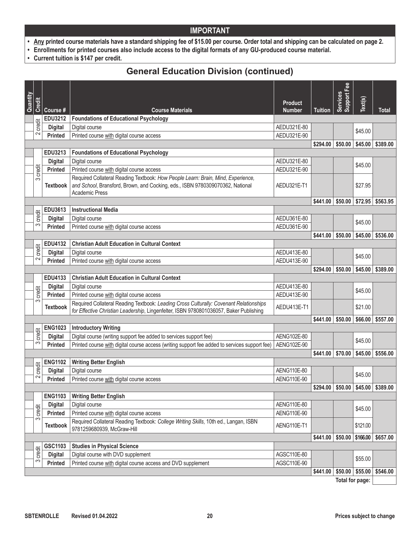- **• Any printed course materials have a standard shipping fee of \$15.00 per course. Order total and shipping can be calculated on page 2.**
- **• Enrollments for printed courses also include access to the digital formats of any GU-produced course material.**
- **• Current tuition is \$147 per credit.**

### **General Education Division (continued)**

| Quantity |        |                                  |                                                                                                                                                                                            | <b>Product</b> |                | Fee<br>Support F<br><b>Services</b> | Text(s)  |                                                |
|----------|--------|----------------------------------|--------------------------------------------------------------------------------------------------------------------------------------------------------------------------------------------|----------------|----------------|-------------------------------------|----------|------------------------------------------------|
|          | Credit | Course #                         | <b>Course Materials</b>                                                                                                                                                                    | <b>Number</b>  | <b>Tuition</b> |                                     |          | <b>Total</b>                                   |
|          |        | <b>EDU3212</b>                   | <b>Foundations of Educational Psychology</b>                                                                                                                                               |                |                |                                     |          |                                                |
|          | credit | <b>Digital</b>                   | Digital course                                                                                                                                                                             | AEDU321E-80    |                |                                     | \$45.00  |                                                |
|          | $\sim$ | <b>Printed</b>                   | Printed course with digital course access                                                                                                                                                  | AEDU321E-90    |                |                                     |          |                                                |
|          |        |                                  |                                                                                                                                                                                            |                | \$294.00       | \$50.00                             | \$45.00  | \$389.00                                       |
|          |        | EDU3213                          | <b>Foundations of Educational Psychology</b>                                                                                                                                               |                |                |                                     |          |                                                |
|          |        | <b>Digital</b>                   | Digital course                                                                                                                                                                             | AEDU321E-80    |                |                                     | \$45.00  |                                                |
|          | credit | <b>Printed</b>                   | Printed course with digital course access                                                                                                                                                  | AEDU321E-90    |                |                                     |          |                                                |
|          | S      | <b>Textbook</b>                  | Required Collateral Reading Textbook: How People Learn: Brain, Mind, Experience,<br>and School, Bransford, Brown, and Cocking, eds., ISBN 9780309070362, National<br><b>Academic Press</b> | AEDU321E-T1    |                |                                     | \$27.95  |                                                |
|          |        |                                  |                                                                                                                                                                                            |                | \$441.00       | \$50.00                             |          | $$72.95$ \$563.95                              |
|          |        | EDU3613                          | <b>Instructional Media</b>                                                                                                                                                                 |                |                |                                     |          |                                                |
|          | credit | <b>Digital</b>                   | Digital course                                                                                                                                                                             | AEDU361E-80    |                |                                     | \$45.00  |                                                |
|          | က      | <b>Printed</b>                   | Printed course with digital course access                                                                                                                                                  | AEDU361E-90    |                |                                     |          |                                                |
|          |        |                                  |                                                                                                                                                                                            |                | \$441.00       | \$50.00                             | \$45.00  | \$536.00                                       |
|          | credit | EDU4132                          | <b>Christian Adult Education in Cultural Context</b>                                                                                                                                       |                |                |                                     |          |                                                |
|          | 2      | <b>Digital</b>                   | Digital course                                                                                                                                                                             | AEDU413E-80    |                |                                     | \$45.00  |                                                |
|          |        | <b>Printed</b>                   | Printed course with digital course access                                                                                                                                                  | AEDU413E-90    |                |                                     |          |                                                |
|          |        | EDU4133                          |                                                                                                                                                                                            |                | \$294.00       | \$50.00                             | \$45.00  | \$389.00                                       |
|          |        | <b>Digital</b>                   | <b>Christian Adult Education in Cultural Context</b><br>Digital course                                                                                                                     | AEDU413E-80    |                |                                     |          |                                                |
|          | credit | <b>Printed</b>                   | Printed course with digital course access                                                                                                                                                  | AEDU413E-90    |                |                                     | \$45.00  |                                                |
|          | 3      |                                  | Required Collateral Reading Textbook: Leading Cross Culturally: Covenant Relationships                                                                                                     |                |                |                                     |          |                                                |
|          |        | <b>Textbook</b>                  | for Effective Christian Leadership, Lingenfelter, ISBN 9780801036057, Baker Publishing                                                                                                     | AEDU413E-T1    |                |                                     | \$21.00  |                                                |
|          |        |                                  |                                                                                                                                                                                            |                | \$441.00       | \$50.00                             | \$66.00  | \$557.00                                       |
|          |        | <b>ENG1023</b>                   | <b>Introductory Writing</b>                                                                                                                                                                |                |                |                                     |          |                                                |
|          | credit | <b>Digital</b>                   | Digital course (writing support fee added to services support fee)                                                                                                                         | AENG102E-80    |                |                                     | \$45.00  |                                                |
|          | 3      | <b>Printed</b>                   | Printed course with digital course access (writing support fee added to services support fee)                                                                                              | AENG102E-90    |                |                                     |          |                                                |
|          |        |                                  |                                                                                                                                                                                            |                | \$441.00       | \$70.00                             |          | $$45.00$ $$556.00$                             |
|          | credit | <b>ENG1102</b>                   | <b>Writing Better English</b>                                                                                                                                                              |                |                |                                     |          |                                                |
|          | $\sim$ | <b>Digital</b>                   | Digital course                                                                                                                                                                             | AENG110E-80    |                |                                     | \$45.00  |                                                |
|          |        | <b>Printed</b>                   | Printed course with digital course access                                                                                                                                                  | AENG110E-90    |                |                                     |          |                                                |
|          |        |                                  |                                                                                                                                                                                            |                |                |                                     |          | $$294.00 \mid $50.00 \mid $45.00 \mid $389.00$ |
|          |        | <b>ENG1103</b><br><b>Digital</b> | <b>Writing Better English</b>                                                                                                                                                              | AENG110E-80    |                |                                     |          |                                                |
|          | credit | Printed                          | Digital course<br>Printed course with digital course access                                                                                                                                | AENG110E-90    |                |                                     | \$45.00  |                                                |
|          | ω      |                                  | Required Collateral Reading Textbook: College Writing Skills, 10th ed., Langan, ISBN                                                                                                       |                |                |                                     |          |                                                |
|          |        | <b>Textbook</b>                  | 9781259680939, McGraw-Hill                                                                                                                                                                 | AENG110E-T1    |                |                                     | \$121.00 |                                                |
|          |        |                                  |                                                                                                                                                                                            |                | \$441.00       | \$50.00                             | \$166.00 | \$657.00                                       |
|          |        | GSC1103                          | <b>Studies in Physical Science</b>                                                                                                                                                         |                |                |                                     |          |                                                |
|          | credit | <b>Digital</b>                   | Digital course with DVD supplement                                                                                                                                                         | AGSC110E-80    |                |                                     | \$55.00  |                                                |
|          | S      | Printed                          | Printed course with digital course access and DVD supplement                                                                                                                               | AGSC110E-90    |                |                                     |          |                                                |
|          |        |                                  |                                                                                                                                                                                            |                | \$441.00       | \$50.00                             | \$55.00  | \$546.00                                       |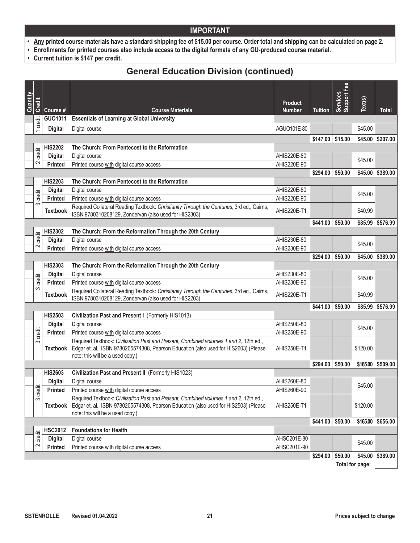- **• Any printed course materials have a standard shipping fee of \$15.00 per course. Order total and shipping can be calculated on page 2.**
- **• Enrollments for printed courses also include access to the digital formats of any GU-produced course material.**
- **• Current tuition is \$147 per credit.**

### **General Education Division (continued)**

| Quantity | Credit         |                 |                                                                                                                                                                                                                   | <b>Product</b>     |                   | <b>Support Fee</b><br><b>Services</b> | Text(s)  |                     |
|----------|----------------|-----------------|-------------------------------------------------------------------------------------------------------------------------------------------------------------------------------------------------------------------|--------------------|-------------------|---------------------------------------|----------|---------------------|
|          |                | Course #        | <b>Course Materials</b>                                                                                                                                                                                           | <b>Number</b>      | <b>Tuition</b>    |                                       |          | <b>Total</b>        |
|          | credit         | GU01011         | <b>Essentials of Learning at Global University</b>                                                                                                                                                                |                    |                   |                                       |          |                     |
|          | $\overline{ }$ | <b>Digital</b>  | Digital course                                                                                                                                                                                                    | AGUO101E-80        |                   |                                       | \$45.00  |                     |
|          |                |                 |                                                                                                                                                                                                                   |                    | \$147.00          | \$15.00                               |          | $$45.00$ $$207.00$  |
|          |                | <b>HIS2202</b>  | The Church: From Pentecost to the Reformation                                                                                                                                                                     |                    |                   |                                       |          |                     |
|          | credit         | <b>Digital</b>  | Digital course                                                                                                                                                                                                    | AHIS220E-80        |                   |                                       |          |                     |
|          | 2              | <b>Printed</b>  | Printed course with digital course access                                                                                                                                                                         | AHIS220E-90        |                   |                                       | \$45.00  |                     |
|          |                |                 |                                                                                                                                                                                                                   |                    | $$294.00$ \$50.00 |                                       |          | $$45.00$ $$389.00$  |
|          |                | <b>HIS2203</b>  | The Church: From Pentecost to the Reformation                                                                                                                                                                     |                    |                   |                                       |          |                     |
|          |                | <b>Digital</b>  | Digital course                                                                                                                                                                                                    | AHIS220E-80        |                   |                                       | \$45.00  |                     |
|          | credit         | <b>Printed</b>  | Printed course with digital course access                                                                                                                                                                         | AHIS220E-90        |                   |                                       |          |                     |
|          | က              | <b>Textbook</b> | Required Collateral Reading Textbook: Christianity Through the Centuries, 3rd ed., Cairns,<br>ISBN 9780310208129, Zondervan (also used for HIS2303)                                                               | <b>AHIS220E-T1</b> |                   |                                       | \$40.99  |                     |
|          |                |                 |                                                                                                                                                                                                                   |                    | \$441.00          | \$50.00                               | \$85.99  | \$576.99            |
|          | credit         | <b>HIS2302</b>  | The Church: From the Reformation Through the 20th Century                                                                                                                                                         |                    |                   |                                       |          |                     |
|          |                | <b>Digital</b>  | Digital course                                                                                                                                                                                                    | AHIS230E-80        |                   |                                       | \$45.00  |                     |
|          | 2              | <b>Printed</b>  | Printed course with digital course access                                                                                                                                                                         | AHIS230E-90        |                   |                                       |          |                     |
|          |                |                 |                                                                                                                                                                                                                   |                    | \$294.00          | \$50.00                               |          | $$45.00$ $$389.00$  |
|          |                | <b>HIS2303</b>  | The Church: From the Reformation Through the 20th Century                                                                                                                                                         |                    |                   |                                       |          |                     |
|          | credit         | <b>Digital</b>  | Digital course                                                                                                                                                                                                    | AHIS230E-80        |                   |                                       | \$45.00  |                     |
|          | က              | <b>Printed</b>  | Printed course with digital course access                                                                                                                                                                         | AHIS230E-90        |                   |                                       |          |                     |
|          |                | <b>Textbook</b> | Required Collateral Reading Textbook: Christianity Through the Centuries, 3rd ed., Cairns,<br>ISBN 9780310208129, Zondervan (also used for HIS2203)                                                               | <b>AHIS220E-T1</b> |                   |                                       | \$40.99  |                     |
|          |                |                 |                                                                                                                                                                                                                   |                    | \$441.00          | \$50.00                               |          | \$85.99 \$576.99    |
|          |                | <b>HIS2503</b>  | Civilization Past and Present I (Formerly HIS1013)                                                                                                                                                                |                    |                   |                                       |          |                     |
|          |                | <b>Digital</b>  | Digital course                                                                                                                                                                                                    | AHIS250E-80        |                   |                                       | \$45.00  |                     |
|          | credit         | <b>Printed</b>  | Printed course with digital course access                                                                                                                                                                         | AHIS250E-90        |                   |                                       |          |                     |
|          | က              | <b>Textbook</b> | Required Textbook: Civilization Past and Present, Combined volumes 1 and 2, 12th ed.,<br>Edgar et. al., ISBN 9780205574308, Pearson Education (also used for HIS2603) (Please<br>note: this will be a used copy.) | AHIS250E-T1        |                   |                                       | \$120.00 |                     |
|          |                |                 |                                                                                                                                                                                                                   |                    | $$294.00$ \$50.00 |                                       |          | $$165.00$ $$509.00$ |
|          |                | <b>HIS2603</b>  | Civilization Past and Present II (Formerly HIS1023)                                                                                                                                                               |                    |                   |                                       |          |                     |
|          |                | <b>Digital</b>  | Digital course                                                                                                                                                                                                    | AHIS260E-80        |                   |                                       | \$45.00  |                     |
|          | credit         | <b>Printed</b>  | Printed course with digital course access                                                                                                                                                                         | AHIS260E-90        |                   |                                       |          |                     |
|          | S              | <b>Textbook</b> | Required Textbook: Civilization Past and Present, Combined volumes 1 and 2, 12th ed.,<br>Edgar et. al., ISBN 9780205574308, Pearson Education (also used for HIS2503) (Please                                     | AHIS250E-T1        |                   |                                       | \$120.00 |                     |
|          |                |                 | note: this will be a used copy.)                                                                                                                                                                                  |                    | $$441.00$ \$50.00 |                                       |          | \$165.00   \$656.00 |
|          |                | <b>HSC2012</b>  | <b>Foundations for Health</b>                                                                                                                                                                                     |                    |                   |                                       |          |                     |
|          | credit         | <b>Digital</b>  | Digital course                                                                                                                                                                                                    | AHSC201E-80        |                   |                                       |          |                     |
|          | 2              | Printed         | Printed course with digital course access                                                                                                                                                                         | AHSC201E-90        |                   |                                       | \$45.00  |                     |
|          |                |                 |                                                                                                                                                                                                                   |                    | \$294.00          | \$50.00                               | \$45.00  | \$389.00            |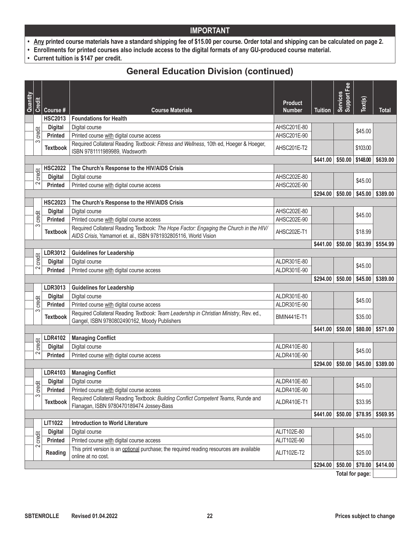- **• Any printed course materials have a standard shipping fee of \$15.00 per course. Order total and shipping can be calculated on page 2.**
- **• Enrollments for printed courses also include access to the digital formats of any GU-produced course material.**
- **• Current tuition is \$147 per credit.**

### **General Education Division (continued)**

| Quantity | <b>Credit</b> |                 |                                                                                                                                                           | <b>Product</b>     |                | <b>Support Fee</b><br>Services | Text(s)           |                                   |
|----------|---------------|-----------------|-----------------------------------------------------------------------------------------------------------------------------------------------------------|--------------------|----------------|--------------------------------|-------------------|-----------------------------------|
|          |               | Course #        | <b>Course Materials</b>                                                                                                                                   | <b>Number</b>      | <b>Tuition</b> |                                |                   | <b>Total</b>                      |
|          |               | <b>HSC2013</b>  | <b>Foundations for Health</b>                                                                                                                             |                    |                |                                |                   |                                   |
|          | credit        | <b>Digital</b>  | Digital course                                                                                                                                            | AHSC201E-80        |                |                                | \$45.00           |                                   |
|          | က             | <b>Printed</b>  | Printed course with digital course access                                                                                                                 | AHSC201E-90        |                |                                |                   |                                   |
|          |               | <b>Textbook</b> | Required Collateral Reading Textbook: Fitness and Wellness, 10th ed, Hoeger & Hoeger,<br>ISBN 9781111989989, Wadsworth                                    | AHSC201E-T2        |                |                                | \$103.00          |                                   |
|          |               |                 |                                                                                                                                                           |                    | \$441.00       |                                | $$50.00$ \$148.00 | \$639.00                          |
|          | credit        | <b>HSC2022</b>  | The Church's Response to the HIV/AIDS Crisis                                                                                                              |                    |                |                                |                   |                                   |
|          |               | <b>Digital</b>  | Digital course                                                                                                                                            | AHSC202E-80        |                |                                | \$45.00           |                                   |
|          | 2             | <b>Printed</b>  | Printed course with digital course access                                                                                                                 | AHSC202E-90        |                |                                |                   |                                   |
|          |               |                 |                                                                                                                                                           |                    | \$294.00       | \$50.00                        | \$45.00           | \$389.00                          |
|          |               | <b>HSC2023</b>  | The Church's Response to the HIV/AIDS Crisis                                                                                                              |                    |                |                                |                   |                                   |
|          | credit        | <b>Digital</b>  | Digital course                                                                                                                                            | AHSC202E-80        |                |                                | \$45.00           |                                   |
|          |               | <b>Printed</b>  | Printed course with digital course access                                                                                                                 | AHSC202E-90        |                |                                |                   |                                   |
|          | က             | <b>Textbook</b> | Required Collateral Reading Textbook: The Hope Factor: Engaging the Church in the HIV/<br>AIDS Crisis, Yamamori et. al., ISBN 9781932805116, World Vision | AHSC202E-T1        |                |                                | \$18.99           |                                   |
|          |               |                 |                                                                                                                                                           |                    | \$441.00       | \$50.00                        | \$63.99           | \$554.99                          |
|          |               | LDR3012         | <b>Guidelines for Leadership</b>                                                                                                                          |                    |                |                                |                   |                                   |
|          | credit        | <b>Digital</b>  | Digital course                                                                                                                                            | ALDR301E-80        |                |                                | \$45.00           |                                   |
|          | $\sim$        | <b>Printed</b>  | Printed course with digital course access                                                                                                                 | ALDR301E-90        |                |                                |                   |                                   |
|          |               |                 |                                                                                                                                                           |                    | \$294.00       | \$50.00                        |                   | $$45.00$ $$389.00$                |
|          |               | LDR3013         | <b>Guidelines for Leadership</b>                                                                                                                          |                    |                |                                |                   |                                   |
|          |               | <b>Digital</b>  | Digital course                                                                                                                                            | ALDR301E-80        |                |                                | \$45.00           |                                   |
|          | credit        | <b>Printed</b>  | Printed course with digital course access                                                                                                                 | ALDR301E-90        |                |                                |                   |                                   |
|          | က             | <b>Textbook</b> | Required Collateral Reading Textbook: Team Leadership in Christian Ministry, Rev. ed.,<br>Gangel, ISBN 9780802490162, Moody Publishers                    | <b>BMIN441E-T1</b> |                |                                | \$35.00           |                                   |
|          |               |                 |                                                                                                                                                           |                    | \$441.00       | \$50.00                        |                   | \$80.00 \$571.00                  |
|          |               | <b>LDR4102</b>  | <b>Managing Conflict</b>                                                                                                                                  |                    |                |                                |                   |                                   |
|          | credit        | <b>Digital</b>  | Digital course                                                                                                                                            | ALDR410E-80        |                |                                |                   |                                   |
|          | 2             | <b>Printed</b>  | Printed course with digital course access                                                                                                                 | ALDR410E-90        |                |                                | \$45.00           |                                   |
|          |               |                 |                                                                                                                                                           |                    | \$294.00       | \$50.00                        |                   | $$45.00 \;   \; $389.00$          |
|          |               | <b>LDR4103</b>  | <b>Managing Conflict</b>                                                                                                                                  |                    |                |                                |                   |                                   |
|          |               | <b>Digital</b>  | Digital course                                                                                                                                            | ALDR410E-80        |                |                                |                   |                                   |
|          | credit        | <b>Printed</b>  | Printed course with digital course access                                                                                                                 | ALDR410E-90        |                |                                | \$45.00           |                                   |
|          | S             | <b>Textbook</b> | Required Collateral Reading Textbook: Building Conflict Competent Teams, Runde and<br>Flanagan, ISBN 9780470189474 Jossey-Bass                            | ALDR410E-T1        |                |                                | \$33.95           |                                   |
|          |               |                 |                                                                                                                                                           |                    | \$441.00       | \$50.00                        |                   | $$78.95$ \$569.95                 |
|          |               | LIT1022         | <b>Introduction to World Literature</b>                                                                                                                   |                    |                |                                |                   |                                   |
|          |               | <b>Digital</b>  | Digital course                                                                                                                                            | ALIT102E-80        |                |                                |                   |                                   |
|          | credit        | <b>Printed</b>  | Printed course with digital course access                                                                                                                 | ALIT102E-90        |                |                                | \$45.00           |                                   |
|          | 2             | Reading         | This print version is an optional purchase; the required reading resources are available<br>online at no cost.                                            | ALIT102E-T2        |                |                                | \$25.00           |                                   |
|          |               |                 |                                                                                                                                                           |                    | \$294.00       |                                |                   | $$50.00 \mid $70.00 \mid $414.00$ |
|          |               |                 |                                                                                                                                                           |                    |                |                                |                   |                                   |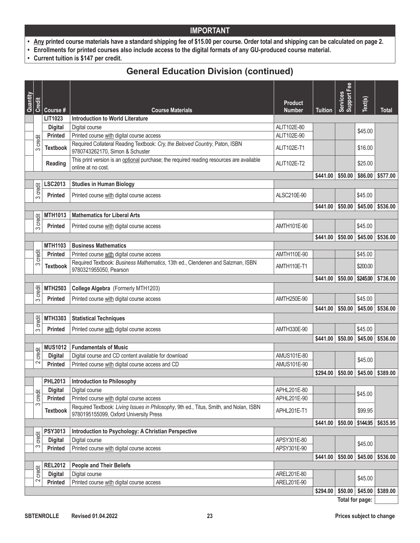- **• Any printed course materials have a standard shipping fee of \$15.00 per course. Order total and shipping can be calculated on page 2.**
- **• Enrollments for printed courses also include access to the digital formats of any GU-produced course material.**
- **• Current tuition is \$147 per credit.**

### **General Education Division (continued)**

|                 |             |                 |                                                                                                                                  |                                 |                | Support Fee |          |                   |
|-----------------|-------------|-----------------|----------------------------------------------------------------------------------------------------------------------------------|---------------------------------|----------------|-------------|----------|-------------------|
| Quantity        | Credit      | Course #        | <b>Course Materials</b>                                                                                                          | <b>Product</b><br><b>Number</b> | <b>Tuition</b> | Services    | Text(s)  | <b>Total</b>      |
|                 |             | LIT1023         | <b>Introduction to World Literature</b>                                                                                          |                                 |                |             |          |                   |
|                 |             | <b>Digital</b>  | Digital course                                                                                                                   | ALIT102E-80                     |                |             |          |                   |
|                 |             | Printed         | Printed course with digital course access                                                                                        | ALIT102E-90                     |                |             | \$45.00  |                   |
|                 | credit<br>က | <b>Textbook</b> | Required Collateral Reading Textbook: Cry, the Beloved Country, Paton, ISBN<br>9780743262170, Simon & Schuster                   | ALIT102E-T1                     |                |             | \$16.00  |                   |
|                 |             | Reading         | This print version is an optional purchase; the required reading resources are available<br>online at no cost.                   | ALIT102E-T2                     |                |             | \$25.00  |                   |
|                 |             |                 |                                                                                                                                  |                                 | \$441.00       | \$50.00     | \$86.00  | \$577.00          |
|                 | credit      | LSC2013         | <b>Studies in Human Biology</b>                                                                                                  |                                 |                |             |          |                   |
|                 | က           | <b>Printed</b>  | Printed course with digital course access                                                                                        | ALSC210E-90                     |                |             | \$45.00  |                   |
|                 |             |                 |                                                                                                                                  |                                 | \$441.00       | \$50.00     | \$45.00  | \$536.00          |
|                 | credit      | <b>MTH1013</b>  | <b>Mathematics for Liberal Arts</b>                                                                                              |                                 |                |             |          |                   |
|                 | က           | <b>Printed</b>  | Printed course with digital course access                                                                                        | AMTH101E-90                     |                |             | \$45.00  |                   |
|                 |             |                 |                                                                                                                                  |                                 | \$441.00       | \$50.00     | \$45.00  | \$536.00          |
|                 |             | <b>MTH1103</b>  | <b>Business Mathematics</b>                                                                                                      |                                 |                |             |          |                   |
|                 | credit      | Printed         | Printed course with digital course access                                                                                        | AMTH110E-90                     |                |             | \$45.00  |                   |
|                 | S           | <b>Textbook</b> | Required Textbook: Business Mathematics, 13th ed., Clendenen and Salzman, ISBN<br>9780321955050, Pearson                         | AMTH110E-T1                     |                |             | \$200.00 |                   |
|                 |             |                 |                                                                                                                                  |                                 | \$441.00       | \$50.00     | \$245.00 | \$736.00          |
|                 | credit      | <b>MTH2503</b>  | College Algebra (Formerly MTH1203)                                                                                               |                                 |                |             |          |                   |
|                 | က           | <b>Printed</b>  | Printed course with digital course access                                                                                        | AMTH250E-90                     |                |             | \$45.00  |                   |
|                 |             |                 |                                                                                                                                  |                                 | \$441.00       | \$50.00     | \$45.00  | \$536.00          |
|                 |             | <b>MTH3303</b>  | <b>Statistical Techniques</b>                                                                                                    |                                 |                |             |          |                   |
|                 | credit      |                 |                                                                                                                                  |                                 |                |             |          |                   |
|                 | က           | <b>Printed</b>  | Printed course with digital course access                                                                                        | AMTH330E-90                     |                |             | \$45.00  |                   |
|                 |             |                 |                                                                                                                                  |                                 | \$441.00       | \$50.00     | \$45.00  | \$536.00          |
|                 |             | <b>MUS1012</b>  | <b>Fundamentals of Music</b>                                                                                                     |                                 |                |             |          |                   |
|                 | credit      | <b>Digital</b>  | Digital course and CD content available for download                                                                             | AMUS101E-80                     |                |             | \$45.00  |                   |
|                 | 2           | <b>Printed</b>  | Printed course with digital course access and CD                                                                                 | AMUS101E-90                     |                |             |          |                   |
|                 |             |                 |                                                                                                                                  |                                 | \$294.00       | \$50.00     | \$45.00  | \$389.00          |
|                 |             | <b>PHL2013</b>  | <b>Introduction to Philosophy</b>                                                                                                |                                 |                |             |          |                   |
|                 | credit      | <b>Digital</b>  | Digital course                                                                                                                   | APHL201E-80                     |                |             | \$45.00  |                   |
|                 |             | Printed         | Printed course with digital course access                                                                                        | APHL201E-90                     |                |             |          |                   |
|                 | S           | <b>Textbook</b> | Required Textbook: Living Issues in Philosophy, 9th ed., Titus, Smith, and Nolan, ISBN<br>9780195155099, Oxford University Press | APHL201E-T1                     |                |             | \$99.95  |                   |
|                 |             |                 |                                                                                                                                  |                                 | \$441.00       | \$50.00     | \$144.95 | \$635.95          |
|                 |             | PSY3013         | Introduction to Psychology: A Christian Perspective                                                                              |                                 |                |             |          |                   |
|                 | credit      | <b>Digital</b>  | Digital course                                                                                                                   | APSY301E-80                     |                |             | \$45.00  |                   |
|                 | က           | Printed         | Printed course with digital course access                                                                                        | APSY301E-90                     |                |             |          |                   |
|                 |             |                 |                                                                                                                                  |                                 | \$441.00       | \$50.00     |          | $$45.00$ \$536.00 |
|                 |             | <b>REL2012</b>  | <b>People and Their Beliefs</b>                                                                                                  |                                 |                |             |          |                   |
|                 | credit      | <b>Digital</b>  | Digital course                                                                                                                   | AREL201E-80                     |                |             | \$45.00  |                   |
|                 | 2           | Printed         | Printed course with digital course access                                                                                        | AREL201E-90                     |                |             |          |                   |
|                 |             |                 |                                                                                                                                  |                                 | \$294.00       | \$50.00     | \$45.00  | \$389.00          |
| Total for page: |             |                 |                                                                                                                                  |                                 |                |             |          |                   |